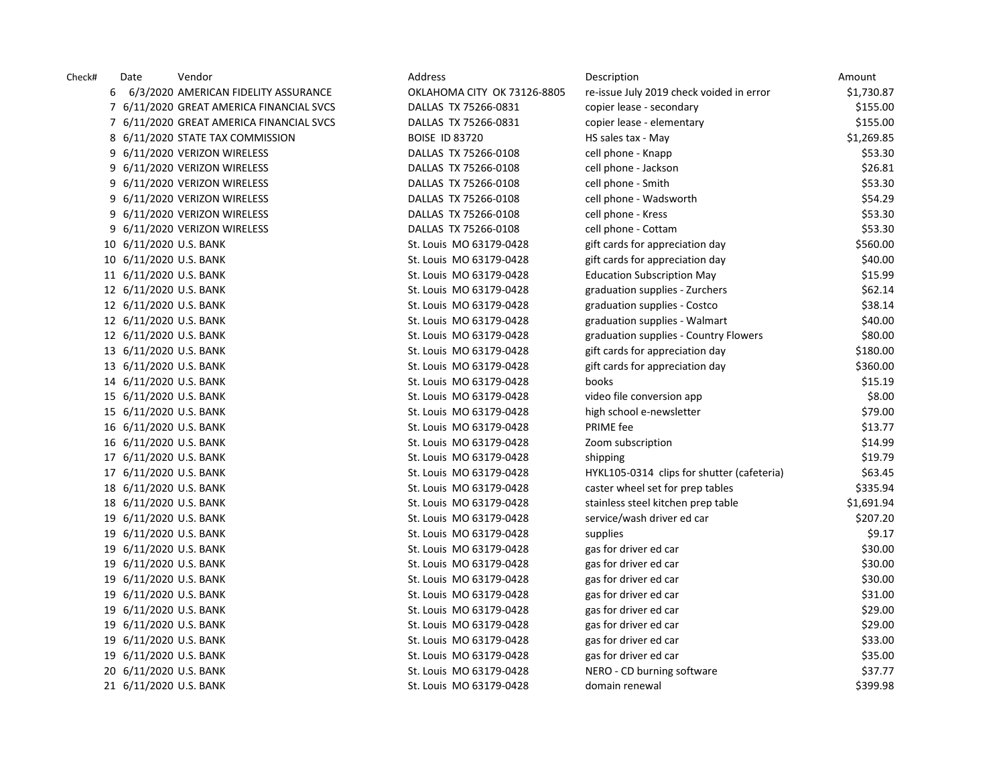| Check# | Date                   | Vendor                                   | Address                     | Description                                | Amount     |
|--------|------------------------|------------------------------------------|-----------------------------|--------------------------------------------|------------|
|        | 6                      | 6/3/2020 AMERICAN FIDELITY ASSURANCE     | OKLAHOMA CITY OK 73126-8805 | re-issue July 2019 check voided in error   | \$1,730.87 |
|        |                        | 7 6/11/2020 GREAT AMERICA FINANCIAL SVCS | DALLAS TX 75266-0831        | copier lease - secondary                   | \$155.00   |
|        |                        | 7 6/11/2020 GREAT AMERICA FINANCIAL SVCS | DALLAS TX 75266-0831        | copier lease - elementary                  | \$155.00   |
|        |                        | 8 6/11/2020 STATE TAX COMMISSION         | <b>BOISE ID 83720</b>       | HS sales tax - May                         | \$1,269.85 |
|        |                        | 9 6/11/2020 VERIZON WIRELESS             | DALLAS TX 75266-0108        | cell phone - Knapp                         | \$53.30    |
|        |                        | 9 6/11/2020 VERIZON WIRELESS             | DALLAS TX 75266-0108        | cell phone - Jackson                       | \$26.81    |
|        |                        | 9 6/11/2020 VERIZON WIRELESS             | DALLAS TX 75266-0108        | cell phone - Smith                         | \$53.30    |
|        |                        | 9 6/11/2020 VERIZON WIRELESS             | DALLAS TX 75266-0108        | cell phone - Wadsworth                     | \$54.29    |
|        |                        | 9 6/11/2020 VERIZON WIRELESS             | DALLAS TX 75266-0108        | cell phone - Kress                         | \$53.30    |
|        |                        | 9 6/11/2020 VERIZON WIRELESS             | DALLAS TX 75266-0108        | cell phone - Cottam                        | \$53.30    |
|        | 10 6/11/2020 U.S. BANK |                                          | St. Louis MO 63179-0428     | gift cards for appreciation day            | \$560.00   |
|        | 10 6/11/2020 U.S. BANK |                                          | St. Louis MO 63179-0428     | gift cards for appreciation day            | \$40.00    |
|        | 11 6/11/2020 U.S. BANK |                                          | St. Louis MO 63179-0428     | <b>Education Subscription May</b>          | \$15.99    |
|        | 12 6/11/2020 U.S. BANK |                                          | St. Louis MO 63179-0428     | graduation supplies - Zurchers             | \$62.14    |
|        | 12 6/11/2020 U.S. BANK |                                          | St. Louis MO 63179-0428     | graduation supplies - Costco               | \$38.14    |
|        | 12 6/11/2020 U.S. BANK |                                          | St. Louis MO 63179-0428     | graduation supplies - Walmart              | \$40.00    |
|        | 12 6/11/2020 U.S. BANK |                                          | St. Louis MO 63179-0428     | graduation supplies - Country Flowers      | \$80.00    |
|        | 13 6/11/2020 U.S. BANK |                                          | St. Louis MO 63179-0428     | gift cards for appreciation day            | \$180.00   |
|        | 13 6/11/2020 U.S. BANK |                                          | St. Louis MO 63179-0428     | gift cards for appreciation day            | \$360.00   |
|        | 14 6/11/2020 U.S. BANK |                                          | St. Louis MO 63179-0428     | books                                      | \$15.19    |
|        | 15 6/11/2020 U.S. BANK |                                          | St. Louis MO 63179-0428     | video file conversion app                  | \$8.00     |
|        | 15 6/11/2020 U.S. BANK |                                          | St. Louis MO 63179-0428     | high school e-newsletter                   | \$79.00    |
|        | 16 6/11/2020 U.S. BANK |                                          | St. Louis MO 63179-0428     | PRIME fee                                  | \$13.77    |
|        | 16 6/11/2020 U.S. BANK |                                          | St. Louis MO 63179-0428     | Zoom subscription                          | \$14.99    |
|        | 17 6/11/2020 U.S. BANK |                                          | St. Louis MO 63179-0428     | shipping                                   | \$19.79    |
|        | 17 6/11/2020 U.S. BANK |                                          | St. Louis MO 63179-0428     | HYKL105-0314 clips for shutter (cafeteria) | \$63.45    |
|        | 18 6/11/2020 U.S. BANK |                                          | St. Louis MO 63179-0428     | caster wheel set for prep tables           | \$335.94   |
|        | 18 6/11/2020 U.S. BANK |                                          | St. Louis MO 63179-0428     | stainless steel kitchen prep table         | \$1,691.94 |
|        | 19 6/11/2020 U.S. BANK |                                          | St. Louis MO 63179-0428     | service/wash driver ed car                 | \$207.20   |
|        | 19 6/11/2020 U.S. BANK |                                          | St. Louis MO 63179-0428     | supplies                                   | \$9.17     |
|        | 19 6/11/2020 U.S. BANK |                                          | St. Louis MO 63179-0428     | gas for driver ed car                      | \$30.00    |
|        | 19 6/11/2020 U.S. BANK |                                          | St. Louis MO 63179-0428     | gas for driver ed car                      | \$30.00    |
|        | 19 6/11/2020 U.S. BANK |                                          | St. Louis MO 63179-0428     | gas for driver ed car                      | \$30.00    |
|        | 19 6/11/2020 U.S. BANK |                                          | St. Louis MO 63179-0428     | gas for driver ed car                      | \$31.00    |
|        | 19 6/11/2020 U.S. BANK |                                          | St. Louis MO 63179-0428     | gas for driver ed car                      | \$29.00    |
|        | 19 6/11/2020 U.S. BANK |                                          | St. Louis MO 63179-0428     | gas for driver ed car                      | \$29.00    |
|        | 19 6/11/2020 U.S. BANK |                                          | St. Louis MO 63179-0428     | gas for driver ed car                      | \$33.00    |
|        | 19 6/11/2020 U.S. BANK |                                          | St. Louis MO 63179-0428     | gas for driver ed car                      | \$35.00    |
|        | 20 6/11/2020 U.S. BANK |                                          | St. Louis MO 63179-0428     | NERO - CD burning software                 | \$37.77    |
|        | 21 6/11/2020 U.S. BANK |                                          | St. Louis MO 63179-0428     | domain renewal                             | \$399.98   |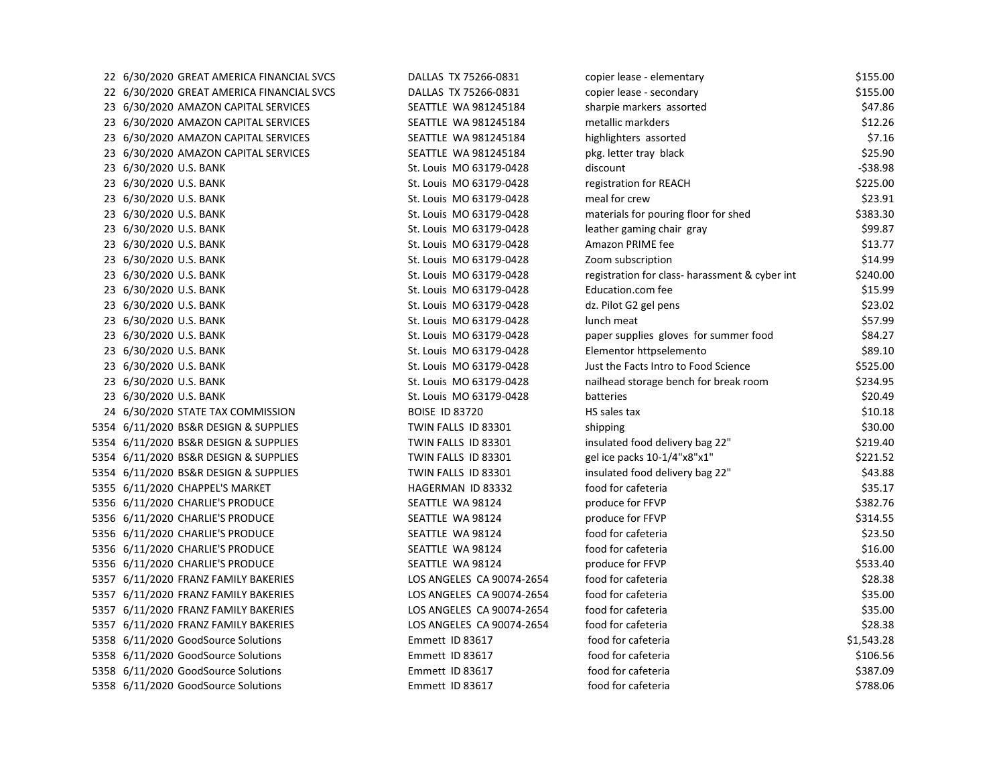| 22 6/30/2020 GREAT AMERICA FINANCIAL SVCS | DALLAS TX 75266-0831      | copier lease - elementary                      | \$155.00   |
|-------------------------------------------|---------------------------|------------------------------------------------|------------|
| 22 6/30/2020 GREAT AMERICA FINANCIAL SVCS | DALLAS TX 75266-0831      | copier lease - secondary                       | \$155.00   |
| 23 6/30/2020 AMAZON CAPITAL SERVICES      | SEATTLE WA 981245184      | sharpie markers assorted                       | \$47.86    |
| 23 6/30/2020 AMAZON CAPITAL SERVICES      | SEATTLE WA 981245184      | metallic markders                              | \$12.26    |
| 23 6/30/2020 AMAZON CAPITAL SERVICES      | SEATTLE WA 981245184      | highlighters assorted                          | \$7.16     |
| 23 6/30/2020 AMAZON CAPITAL SERVICES      | SEATTLE WA 981245184      | pkg. letter tray black                         | \$25.90    |
| 23 6/30/2020 U.S. BANK                    | St. Louis MO 63179-0428   | discount                                       | $-538.98$  |
| 23 6/30/2020 U.S. BANK                    | St. Louis MO 63179-0428   | registration for REACH                         | \$225.00   |
| 23 6/30/2020 U.S. BANK                    | St. Louis MO 63179-0428   | meal for crew                                  | \$23.91    |
| 23 6/30/2020 U.S. BANK                    | St. Louis MO 63179-0428   | materials for pouring floor for shed           | \$383.30   |
| 23 6/30/2020 U.S. BANK                    | St. Louis MO 63179-0428   | leather gaming chair gray                      | \$99.87    |
| 23 6/30/2020 U.S. BANK                    | St. Louis MO 63179-0428   | Amazon PRIME fee                               | \$13.77    |
| 23 6/30/2020 U.S. BANK                    | St. Louis MO 63179-0428   | Zoom subscription                              | \$14.99    |
| 23 6/30/2020 U.S. BANK                    | St. Louis MO 63179-0428   | registration for class- harassment & cyber int | \$240.00   |
| 23 6/30/2020 U.S. BANK                    | St. Louis MO 63179-0428   | Education.com fee                              | \$15.99    |
| 23 6/30/2020 U.S. BANK                    | St. Louis MO 63179-0428   | dz. Pilot G2 gel pens                          | \$23.02    |
| 23 6/30/2020 U.S. BANK                    | St. Louis MO 63179-0428   | lunch meat                                     | \$57.99    |
| 23 6/30/2020 U.S. BANK                    | St. Louis MO 63179-0428   | paper supplies gloves for summer food          | \$84.27    |
| 23 6/30/2020 U.S. BANK                    | St. Louis MO 63179-0428   | Elementor httpselemento                        | \$89.10    |
| 23 6/30/2020 U.S. BANK                    | St. Louis MO 63179-0428   | Just the Facts Intro to Food Science           | \$525.00   |
| 23 6/30/2020 U.S. BANK                    | St. Louis MO 63179-0428   | nailhead storage bench for break room          | \$234.95   |
| 23 6/30/2020 U.S. BANK                    | St. Louis MO 63179-0428   | batteries                                      | \$20.49    |
| 24 6/30/2020 STATE TAX COMMISSION         | <b>BOISE ID 83720</b>     | HS sales tax                                   | \$10.18    |
| 5354 6/11/2020 BS&R DESIGN & SUPPLIES     | TWIN FALLS ID 83301       | shipping                                       | \$30.00    |
| 5354 6/11/2020 BS&R DESIGN & SUPPLIES     | TWIN FALLS ID 83301       | insulated food delivery bag 22"                | \$219.40   |
| 5354 6/11/2020 BS&R DESIGN & SUPPLIES     | TWIN FALLS ID 83301       | gel ice packs 10-1/4"x8"x1"                    | \$221.52   |
| 5354 6/11/2020 BS&R DESIGN & SUPPLIES     | TWIN FALLS ID 83301       | insulated food delivery bag 22"                | \$43.88    |
| 5355 6/11/2020 CHAPPEL'S MARKET           | HAGERMAN ID 83332         | food for cafeteria                             | \$35.17    |
| 5356 6/11/2020 CHARLIE'S PRODUCE          | SEATTLE WA 98124          | produce for FFVP                               | \$382.76   |
| 5356 6/11/2020 CHARLIE'S PRODUCE          | SEATTLE WA 98124          | produce for FFVP                               | \$314.55   |
| 5356 6/11/2020 CHARLIE'S PRODUCE          | SEATTLE WA 98124          | food for cafeteria                             | \$23.50    |
| 5356 6/11/2020 CHARLIE'S PRODUCE          | SEATTLE WA 98124          | food for cafeteria                             | \$16.00    |
| 5356 6/11/2020 CHARLIE'S PRODUCE          | SEATTLE WA 98124          | produce for FFVP                               | \$533.40   |
| 5357 6/11/2020 FRANZ FAMILY BAKERIES      | LOS ANGELES CA 90074-2654 | food for cafeteria                             | \$28.38    |
| 5357 6/11/2020 FRANZ FAMILY BAKERIES      | LOS ANGELES CA 90074-2654 | food for cafeteria                             | \$35.00    |
| 5357 6/11/2020 FRANZ FAMILY BAKERIES      | LOS ANGELES CA 90074-2654 | food for cafeteria                             | \$35.00    |
| 5357 6/11/2020 FRANZ FAMILY BAKERIES      | LOS ANGELES CA 90074-2654 | food for cafeteria                             | \$28.38    |
| 5358 6/11/2020 GoodSource Solutions       | Emmett ID 83617           | food for cafeteria                             | \$1,543.28 |
| 5358 6/11/2020 GoodSource Solutions       | Emmett ID 83617           | food for cafeteria                             | \$106.56   |
| 5358 6/11/2020 GoodSource Solutions       | Emmett ID 83617           | food for cafeteria                             | \$387.09   |
| 5358 6/11/2020 GoodSource Solutions       | Emmett ID 83617           | food for cafeteria                             | \$788.06   |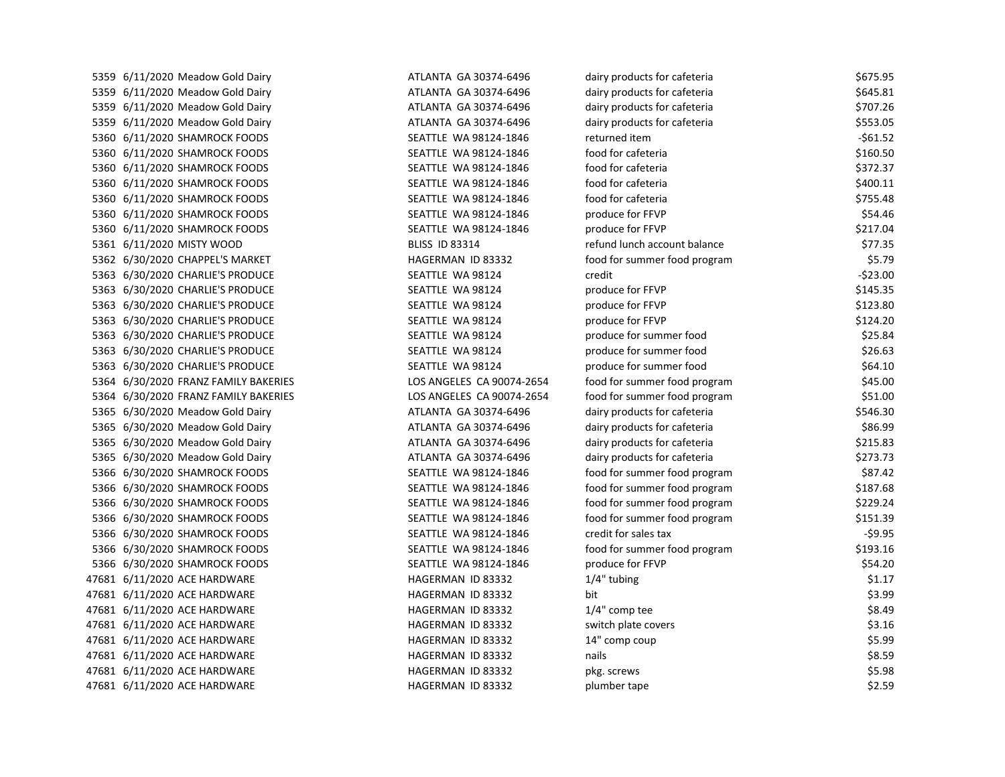| 5359 6/11/2020 Meadow Gold Dairy     | ATLANTA GA 30374-6496     | dairy products for cafeteria | \$675.95  |
|--------------------------------------|---------------------------|------------------------------|-----------|
| 5359 6/11/2020 Meadow Gold Dairy     | ATLANTA GA 30374-6496     | dairy products for cafeteria | \$645.81  |
| 5359 6/11/2020 Meadow Gold Dairy     | ATLANTA GA 30374-6496     | dairy products for cafeteria | \$707.26  |
| 5359 6/11/2020 Meadow Gold Dairy     | ATLANTA GA 30374-6496     | dairy products for cafeteria | \$553.05  |
| 5360 6/11/2020 SHAMROCK FOODS        | SEATTLE WA 98124-1846     | returned item                | $-561.52$ |
| 5360 6/11/2020 SHAMROCK FOODS        | SEATTLE WA 98124-1846     | food for cafeteria           | \$160.50  |
| 5360 6/11/2020 SHAMROCK FOODS        | SEATTLE WA 98124-1846     | food for cafeteria           | \$372.37  |
| 5360 6/11/2020 SHAMROCK FOODS        | SEATTLE WA 98124-1846     | food for cafeteria           | \$400.11  |
| 5360 6/11/2020 SHAMROCK FOODS        | SEATTLE WA 98124-1846     | food for cafeteria           | \$755.48  |
| 5360 6/11/2020 SHAMROCK FOODS        | SEATTLE WA 98124-1846     | produce for FFVP             | \$54.46   |
| 5360 6/11/2020 SHAMROCK FOODS        | SEATTLE WA 98124-1846     | produce for FFVP             | \$217.04  |
| 5361 6/11/2020 MISTY WOOD            | <b>BLISS ID 83314</b>     | refund lunch account balance | \$77.35   |
| 5362 6/30/2020 CHAPPEL'S MARKET      | HAGERMAN ID 83332         | food for summer food program | \$5.79    |
| 5363 6/30/2020 CHARLIE'S PRODUCE     | SEATTLE WA 98124          | credit                       | $-523.00$ |
| 5363 6/30/2020 CHARLIE'S PRODUCE     | SEATTLE WA 98124          | produce for FFVP             | \$145.35  |
| 5363 6/30/2020 CHARLIE'S PRODUCE     | SEATTLE WA 98124          | produce for FFVP             | \$123.80  |
| 5363 6/30/2020 CHARLIE'S PRODUCE     | SEATTLE WA 98124          | produce for FFVP             | \$124.20  |
| 5363 6/30/2020 CHARLIE'S PRODUCE     | SEATTLE WA 98124          | produce for summer food      | \$25.84   |
| 5363 6/30/2020 CHARLIE'S PRODUCE     | SEATTLE WA 98124          | produce for summer food      | \$26.63   |
| 5363 6/30/2020 CHARLIE'S PRODUCE     | SEATTLE WA 98124          | produce for summer food      | \$64.10   |
| 5364 6/30/2020 FRANZ FAMILY BAKERIES | LOS ANGELES CA 90074-2654 | food for summer food program | \$45.00   |
| 5364 6/30/2020 FRANZ FAMILY BAKERIES | LOS ANGELES CA 90074-2654 | food for summer food program | \$51.00   |
| 5365 6/30/2020 Meadow Gold Dairy     | ATLANTA GA 30374-6496     | dairy products for cafeteria | \$546.30  |
| 5365 6/30/2020 Meadow Gold Dairy     | ATLANTA GA 30374-6496     | dairy products for cafeteria | \$86.99   |
| 5365 6/30/2020 Meadow Gold Dairy     | ATLANTA GA 30374-6496     | dairy products for cafeteria | \$215.83  |
| 5365 6/30/2020 Meadow Gold Dairy     | ATLANTA GA 30374-6496     | dairy products for cafeteria | \$273.73  |
| 5366 6/30/2020 SHAMROCK FOODS        | SEATTLE WA 98124-1846     | food for summer food program | \$87.42   |
| 5366 6/30/2020 SHAMROCK FOODS        | SEATTLE WA 98124-1846     | food for summer food program | \$187.68  |
| 5366 6/30/2020 SHAMROCK FOODS        | SEATTLE WA 98124-1846     | food for summer food program | \$229.24  |
| 5366 6/30/2020 SHAMROCK FOODS        | SEATTLE WA 98124-1846     | food for summer food program | \$151.39  |
| 5366 6/30/2020 SHAMROCK FOODS        | SEATTLE WA 98124-1846     | credit for sales tax         | $-59.95$  |
| 5366 6/30/2020 SHAMROCK FOODS        | SEATTLE WA 98124-1846     | food for summer food program | \$193.16  |
| 5366 6/30/2020 SHAMROCK FOODS        | SEATTLE WA 98124-1846     | produce for FFVP             | \$54.20   |
| 47681 6/11/2020 ACE HARDWARE         | HAGERMAN ID 83332         | 1/4" tubing                  | \$1.17    |
| 47681 6/11/2020 ACE HARDWARE         | HAGERMAN ID 83332         | bit                          | \$3.99    |
| 47681 6/11/2020 ACE HARDWARE         | HAGERMAN ID 83332         | 1/4" comp tee                | \$8.49    |
| 47681 6/11/2020 ACE HARDWARE         | HAGERMAN ID 83332         | switch plate covers          | \$3.16    |
| 47681 6/11/2020 ACE HARDWARE         | HAGERMAN ID 83332         | 14" comp coup                | \$5.99    |
| 47681 6/11/2020 ACE HARDWARE         | HAGERMAN ID 83332         | nails                        | \$8.59    |
| 47681 6/11/2020 ACE HARDWARE         | HAGERMAN ID 83332         | pkg. screws                  | \$5.98    |
| 47681 6/11/2020 ACE HARDWARE         | HAGERMAN ID 83332         | plumber tape                 | \$2.59    |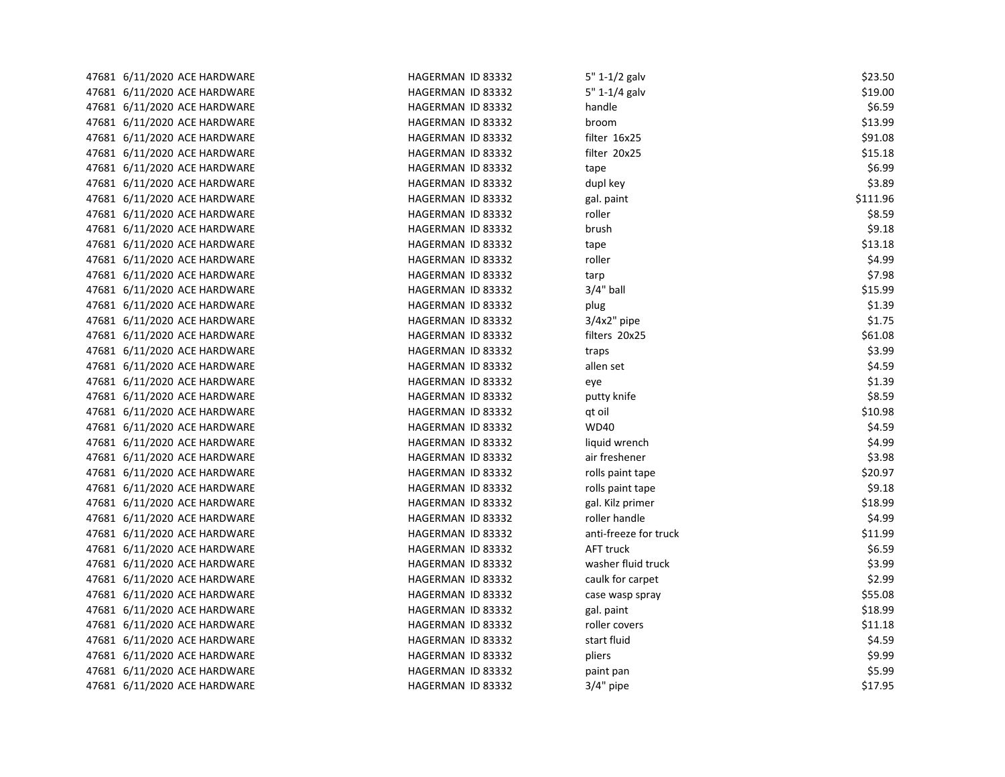| 47681 6/11/2020 ACE HARDWARE | HAGERMAN ID 83332 | 5" 1-1/2 galv         | \$23.50  |
|------------------------------|-------------------|-----------------------|----------|
| 47681 6/11/2020 ACE HARDWARE | HAGERMAN ID 83332 | 5" 1-1/4 galv         | \$19.00  |
| 47681 6/11/2020 ACE HARDWARE | HAGERMAN ID 83332 | handle                | \$6.59   |
| 47681 6/11/2020 ACE HARDWARE | HAGERMAN ID 83332 | broom                 | \$13.99  |
| 47681 6/11/2020 ACE HARDWARE | HAGERMAN ID 83332 | filter 16x25          | \$91.08  |
| 47681 6/11/2020 ACE HARDWARE | HAGERMAN ID 83332 | filter 20x25          | \$15.18  |
| 47681 6/11/2020 ACE HARDWARE | HAGERMAN ID 83332 | tape                  | \$6.99   |
| 47681 6/11/2020 ACE HARDWARE | HAGERMAN ID 83332 | dupl key              | \$3.89   |
| 47681 6/11/2020 ACE HARDWARE | HAGERMAN ID 83332 | gal. paint            | \$111.96 |
| 47681 6/11/2020 ACE HARDWARE | HAGERMAN ID 83332 | roller                | \$8.59   |
| 47681 6/11/2020 ACE HARDWARE | HAGERMAN ID 83332 | brush                 | \$9.18   |
| 47681 6/11/2020 ACE HARDWARE | HAGERMAN ID 83332 | tape                  | \$13.18  |
| 47681 6/11/2020 ACE HARDWARE | HAGERMAN ID 83332 | roller                | \$4.99   |
| 47681 6/11/2020 ACE HARDWARE | HAGERMAN ID 83332 | tarp                  | \$7.98   |
| 47681 6/11/2020 ACE HARDWARE | HAGERMAN ID 83332 | $3/4"$ ball           | \$15.99  |
| 47681 6/11/2020 ACE HARDWARE | HAGERMAN ID 83332 | plug                  | \$1.39   |
| 47681 6/11/2020 ACE HARDWARE | HAGERMAN ID 83332 | 3/4x2" pipe           | \$1.75   |
| 47681 6/11/2020 ACE HARDWARE | HAGERMAN ID 83332 | filters 20x25         | \$61.08  |
| 47681 6/11/2020 ACE HARDWARE | HAGERMAN ID 83332 | traps                 | \$3.99   |
| 47681 6/11/2020 ACE HARDWARE | HAGERMAN ID 83332 | allen set             | \$4.59   |
| 47681 6/11/2020 ACE HARDWARE | HAGERMAN ID 83332 | eye                   | \$1.39   |
| 47681 6/11/2020 ACE HARDWARE | HAGERMAN ID 83332 | putty knife           | \$8.59   |
| 47681 6/11/2020 ACE HARDWARE | HAGERMAN ID 83332 | qt oil                | \$10.98  |
| 47681 6/11/2020 ACE HARDWARE | HAGERMAN ID 83332 | <b>WD40</b>           | \$4.59   |
| 47681 6/11/2020 ACE HARDWARE | HAGERMAN ID 83332 | liquid wrench         | \$4.99   |
| 47681 6/11/2020 ACE HARDWARE | HAGERMAN ID 83332 | air freshener         | \$3.98   |
| 47681 6/11/2020 ACE HARDWARE | HAGERMAN ID 83332 | rolls paint tape      | \$20.97  |
| 47681 6/11/2020 ACE HARDWARE | HAGERMAN ID 83332 | rolls paint tape      | \$9.18   |
| 47681 6/11/2020 ACE HARDWARE | HAGERMAN ID 83332 | gal. Kilz primer      | \$18.99  |
| 47681 6/11/2020 ACE HARDWARE | HAGERMAN ID 83332 | roller handle         | \$4.99   |
| 47681 6/11/2020 ACE HARDWARE | HAGERMAN ID 83332 | anti-freeze for truck | \$11.99  |
| 47681 6/11/2020 ACE HARDWARE | HAGERMAN ID 83332 | <b>AFT truck</b>      | \$6.59   |
| 47681 6/11/2020 ACE HARDWARE | HAGERMAN ID 83332 | washer fluid truck    | \$3.99   |
| 47681 6/11/2020 ACE HARDWARE | HAGERMAN ID 83332 | caulk for carpet      | \$2.99   |
| 47681 6/11/2020 ACE HARDWARE | HAGERMAN ID 83332 | case wasp spray       | \$55.08  |
| 47681 6/11/2020 ACE HARDWARE | HAGERMAN ID 83332 | gal. paint            | \$18.99  |
| 47681 6/11/2020 ACE HARDWARE | HAGERMAN ID 83332 | roller covers         | \$11.18  |
| 47681 6/11/2020 ACE HARDWARE | HAGERMAN ID 83332 | start fluid           | \$4.59   |
| 47681 6/11/2020 ACE HARDWARE | HAGERMAN ID 83332 | pliers                | \$9.99   |
| 47681 6/11/2020 ACE HARDWARE | HAGERMAN ID 83332 | paint pan             | \$5.99   |
| 47681 6/11/2020 ACE HARDWARE | HAGERMAN ID 83332 | $3/4"$ pipe           | \$17.95  |
|                              |                   |                       |          |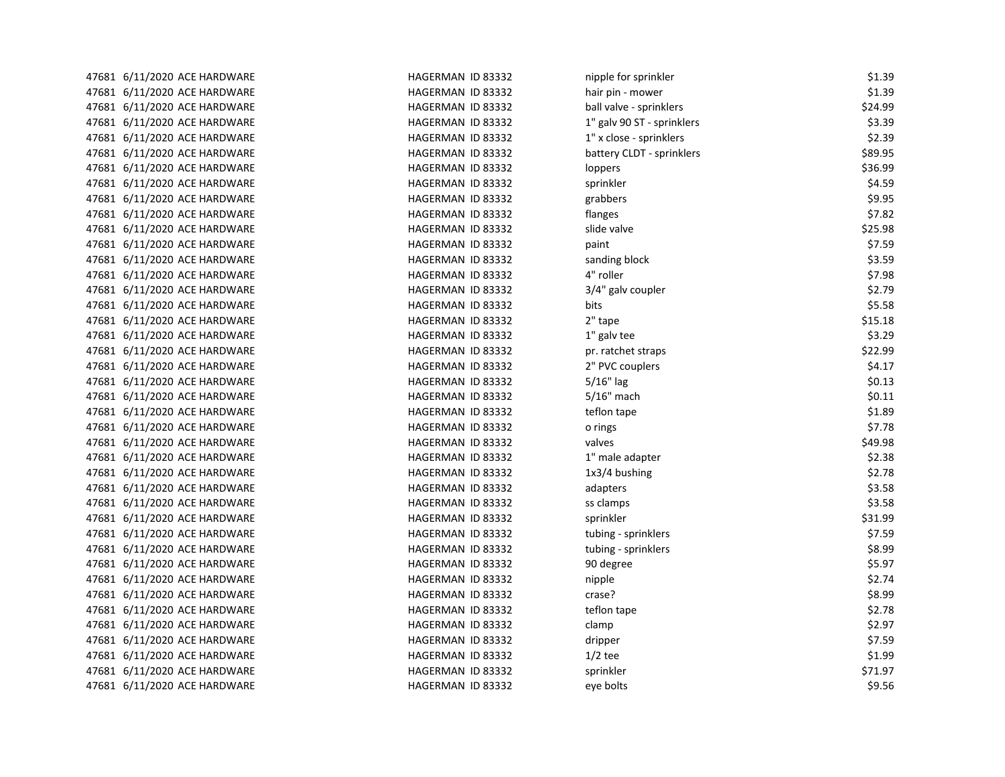| 47681 6/11/2020 ACE HARDWARE | HAGERMAN ID 83332 | nipple for sprinkler       | \$1.39  |
|------------------------------|-------------------|----------------------------|---------|
| 47681 6/11/2020 ACE HARDWARE | HAGERMAN ID 83332 | hair pin - mower           | \$1.39  |
| 47681 6/11/2020 ACE HARDWARE | HAGERMAN ID 83332 | ball valve - sprinklers    | \$24.99 |
| 47681 6/11/2020 ACE HARDWARE | HAGERMAN ID 83332 | 1" galv 90 ST - sprinklers | \$3.39  |
| 47681 6/11/2020 ACE HARDWARE | HAGERMAN ID 83332 | 1" x close - sprinklers    | \$2.39  |
| 47681 6/11/2020 ACE HARDWARE | HAGERMAN ID 83332 | battery CLDT - sprinklers  | \$89.95 |
| 47681 6/11/2020 ACE HARDWARE | HAGERMAN ID 83332 | loppers                    | \$36.99 |
| 47681 6/11/2020 ACE HARDWARE | HAGERMAN ID 83332 | sprinkler                  | \$4.59  |
| 47681 6/11/2020 ACE HARDWARE | HAGERMAN ID 83332 | grabbers                   | \$9.95  |
| 47681 6/11/2020 ACE HARDWARE | HAGERMAN ID 83332 | flanges                    | \$7.82  |
| 47681 6/11/2020 ACE HARDWARE | HAGERMAN ID 83332 | slide valve                | \$25.98 |
| 47681 6/11/2020 ACE HARDWARE | HAGERMAN ID 83332 | paint                      | \$7.59  |
| 47681 6/11/2020 ACE HARDWARE | HAGERMAN ID 83332 | sanding block              | \$3.59  |
| 47681 6/11/2020 ACE HARDWARE | HAGERMAN ID 83332 | 4" roller                  | \$7.98  |
| 47681 6/11/2020 ACE HARDWARE | HAGERMAN ID 83332 | 3/4" galv coupler          | \$2.79  |
| 47681 6/11/2020 ACE HARDWARE | HAGERMAN ID 83332 | bits                       | \$5.58  |
| 47681 6/11/2020 ACE HARDWARE | HAGERMAN ID 83332 | 2" tape                    | \$15.18 |
| 47681 6/11/2020 ACE HARDWARE | HAGERMAN ID 83332 | 1" galv tee                | \$3.29  |
| 47681 6/11/2020 ACE HARDWARE | HAGERMAN ID 83332 | pr. ratchet straps         | \$22.99 |
| 47681 6/11/2020 ACE HARDWARE | HAGERMAN ID 83332 | 2" PVC couplers            | \$4.17  |
| 47681 6/11/2020 ACE HARDWARE | HAGERMAN ID 83332 | $5/16"$ lag                | \$0.13  |
| 47681 6/11/2020 ACE HARDWARE | HAGERMAN ID 83332 | $5/16"$ mach               | \$0.11  |
| 47681 6/11/2020 ACE HARDWARE | HAGERMAN ID 83332 | teflon tape                | \$1.89  |
| 47681 6/11/2020 ACE HARDWARE | HAGERMAN ID 83332 | o rings                    | \$7.78  |
| 47681 6/11/2020 ACE HARDWARE | HAGERMAN ID 83332 | valves                     | \$49.98 |
| 47681 6/11/2020 ACE HARDWARE | HAGERMAN ID 83332 | 1" male adapter            | \$2.38  |
| 47681 6/11/2020 ACE HARDWARE | HAGERMAN ID 83332 | $1x3/4$ bushing            | \$2.78  |
| 47681 6/11/2020 ACE HARDWARE | HAGERMAN ID 83332 | adapters                   | \$3.58  |
| 47681 6/11/2020 ACE HARDWARE | HAGERMAN ID 83332 | ss clamps                  | \$3.58  |
| 47681 6/11/2020 ACE HARDWARE | HAGERMAN ID 83332 | sprinkler                  | \$31.99 |
| 47681 6/11/2020 ACE HARDWARE | HAGERMAN ID 83332 | tubing - sprinklers        | \$7.59  |
| 47681 6/11/2020 ACE HARDWARE | HAGERMAN ID 83332 | tubing - sprinklers        | \$8.99  |
| 47681 6/11/2020 ACE HARDWARE | HAGERMAN ID 83332 | 90 degree                  | \$5.97  |
| 47681 6/11/2020 ACE HARDWARE | HAGERMAN ID 83332 | nipple                     | \$2.74  |
| 47681 6/11/2020 ACE HARDWARE | HAGERMAN ID 83332 | crase?                     | \$8.99  |
| 47681 6/11/2020 ACE HARDWARE | HAGERMAN ID 83332 | teflon tape                | \$2.78  |
| 47681 6/11/2020 ACE HARDWARE | HAGERMAN ID 83332 | clamp                      | \$2.97  |
| 47681 6/11/2020 ACE HARDWARE | HAGERMAN ID 83332 | dripper                    | \$7.59  |
| 47681 6/11/2020 ACE HARDWARE | HAGERMAN ID 83332 | $1/2$ tee                  | \$1.99  |
| 47681 6/11/2020 ACE HARDWARE | HAGERMAN ID 83332 | sprinkler                  | \$71.97 |
| 47681 6/11/2020 ACE HARDWARE | HAGERMAN ID 83332 | eye bolts                  | \$9.56  |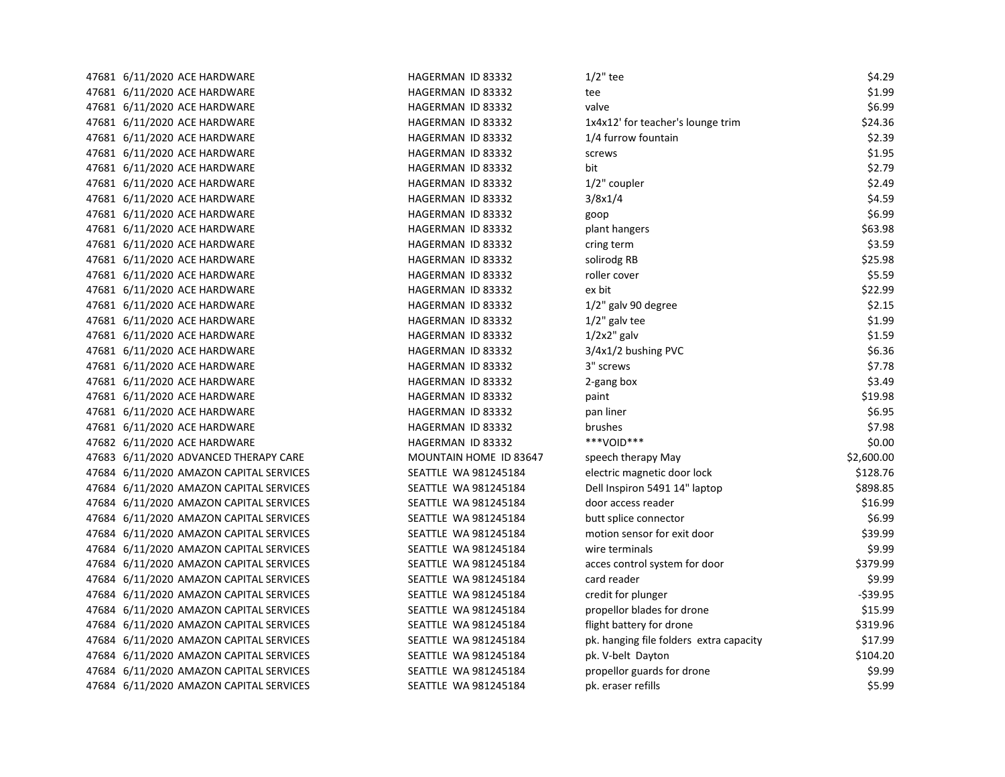| 47681 6/11/2020 ACE HARDWARE            | HAGERMAN ID 83332      | $1/2$ " tee                             | \$4.29     |
|-----------------------------------------|------------------------|-----------------------------------------|------------|
| 47681 6/11/2020 ACE HARDWARE            | HAGERMAN ID 83332      | tee                                     | \$1.99     |
| 47681 6/11/2020 ACE HARDWARE            | HAGERMAN ID 83332      | valve                                   | \$6.99     |
| 47681 6/11/2020 ACE HARDWARE            | HAGERMAN ID 83332      | 1x4x12' for teacher's lounge trim       | \$24.36    |
| 47681 6/11/2020 ACE HARDWARE            | HAGERMAN ID 83332      | 1/4 furrow fountain                     | \$2.39     |
| 47681 6/11/2020 ACE HARDWARE            | HAGERMAN ID 83332      | screws                                  | \$1.95     |
| 47681 6/11/2020 ACE HARDWARE            | HAGERMAN ID 83332      | bit                                     | \$2.79     |
| 47681 6/11/2020 ACE HARDWARE            | HAGERMAN ID 83332      | 1/2" coupler                            | \$2.49     |
| 47681 6/11/2020 ACE HARDWARE            | HAGERMAN ID 83332      | 3/8x1/4                                 | \$4.59     |
| 47681 6/11/2020 ACE HARDWARE            | HAGERMAN ID 83332      | goop                                    | \$6.99     |
| 47681 6/11/2020 ACE HARDWARE            | HAGERMAN ID 83332      | plant hangers                           | \$63.98    |
| 47681 6/11/2020 ACE HARDWARE            | HAGERMAN ID 83332      | cring term                              | \$3.59     |
| 47681 6/11/2020 ACE HARDWARE            | HAGERMAN ID 83332      | solirodg RB                             | \$25.98    |
| 47681 6/11/2020 ACE HARDWARE            | HAGERMAN ID 83332      | roller cover                            | \$5.59     |
| 47681 6/11/2020 ACE HARDWARE            | HAGERMAN ID 83332      | ex bit                                  | \$22.99    |
| 47681 6/11/2020 ACE HARDWARE            | HAGERMAN ID 83332      | 1/2" galv 90 degree                     | \$2.15     |
| 47681 6/11/2020 ACE HARDWARE            | HAGERMAN ID 83332      | $1/2$ " galv tee                        | \$1.99     |
| 47681 6/11/2020 ACE HARDWARE            | HAGERMAN ID 83332      | $1/2x2$ " galv                          | \$1.59     |
| 47681 6/11/2020 ACE HARDWARE            | HAGERMAN ID 83332      | 3/4x1/2 bushing PVC                     | \$6.36     |
| 47681 6/11/2020 ACE HARDWARE            | HAGERMAN ID 83332      | 3" screws                               | \$7.78     |
| 47681 6/11/2020 ACE HARDWARE            | HAGERMAN ID 83332      | 2-gang box                              | \$3.49     |
| 47681 6/11/2020 ACE HARDWARE            | HAGERMAN ID 83332      | paint                                   | \$19.98    |
| 47681 6/11/2020 ACE HARDWARE            | HAGERMAN ID 83332      | pan liner                               | \$6.95     |
| 47681 6/11/2020 ACE HARDWARE            | HAGERMAN ID 83332      | brushes                                 | \$7.98     |
| 47682 6/11/2020 ACE HARDWARE            | HAGERMAN ID 83332      | ***VOID***                              | \$0.00     |
| 47683 6/11/2020 ADVANCED THERAPY CARE   | MOUNTAIN HOME ID 83647 | speech therapy May                      | \$2,600.00 |
| 47684 6/11/2020 AMAZON CAPITAL SERVICES | SEATTLE WA 981245184   | electric magnetic door lock             | \$128.76   |
| 47684 6/11/2020 AMAZON CAPITAL SERVICES | SEATTLE WA 981245184   | Dell Inspiron 5491 14" laptop           | \$898.85   |
| 47684 6/11/2020 AMAZON CAPITAL SERVICES | SEATTLE WA 981245184   | door access reader                      | \$16.99    |
| 47684 6/11/2020 AMAZON CAPITAL SERVICES | SEATTLE WA 981245184   | butt splice connector                   | \$6.99     |
| 47684 6/11/2020 AMAZON CAPITAL SERVICES | SEATTLE WA 981245184   | motion sensor for exit door             | \$39.99    |
| 47684 6/11/2020 AMAZON CAPITAL SERVICES | SEATTLE WA 981245184   | wire terminals                          | \$9.99     |
| 47684 6/11/2020 AMAZON CAPITAL SERVICES | SEATTLE WA 981245184   | acces control system for door           | \$379.99   |
| 47684 6/11/2020 AMAZON CAPITAL SERVICES | SEATTLE WA 981245184   | card reader                             | \$9.99     |
| 47684 6/11/2020 AMAZON CAPITAL SERVICES | SEATTLE WA 981245184   | credit for plunger                      | $-$39.95$  |
| 47684 6/11/2020 AMAZON CAPITAL SERVICES | SEATTLE WA 981245184   | propellor blades for drone              | \$15.99    |
| 47684 6/11/2020 AMAZON CAPITAL SERVICES | SEATTLE WA 981245184   | flight battery for drone                | \$319.96   |
| 47684 6/11/2020 AMAZON CAPITAL SERVICES | SEATTLE WA 981245184   | pk. hanging file folders extra capacity | \$17.99    |
| 47684 6/11/2020 AMAZON CAPITAL SERVICES | SEATTLE WA 981245184   | pk. V-belt Dayton                       | \$104.20   |
| 47684 6/11/2020 AMAZON CAPITAL SERVICES | SEATTLE WA 981245184   | propellor guards for drone              | \$9.99     |
| 47684 6/11/2020 AMAZON CAPITAL SERVICES | SEATTLE WA 981245184   | pk. eraser refills                      | \$5.99     |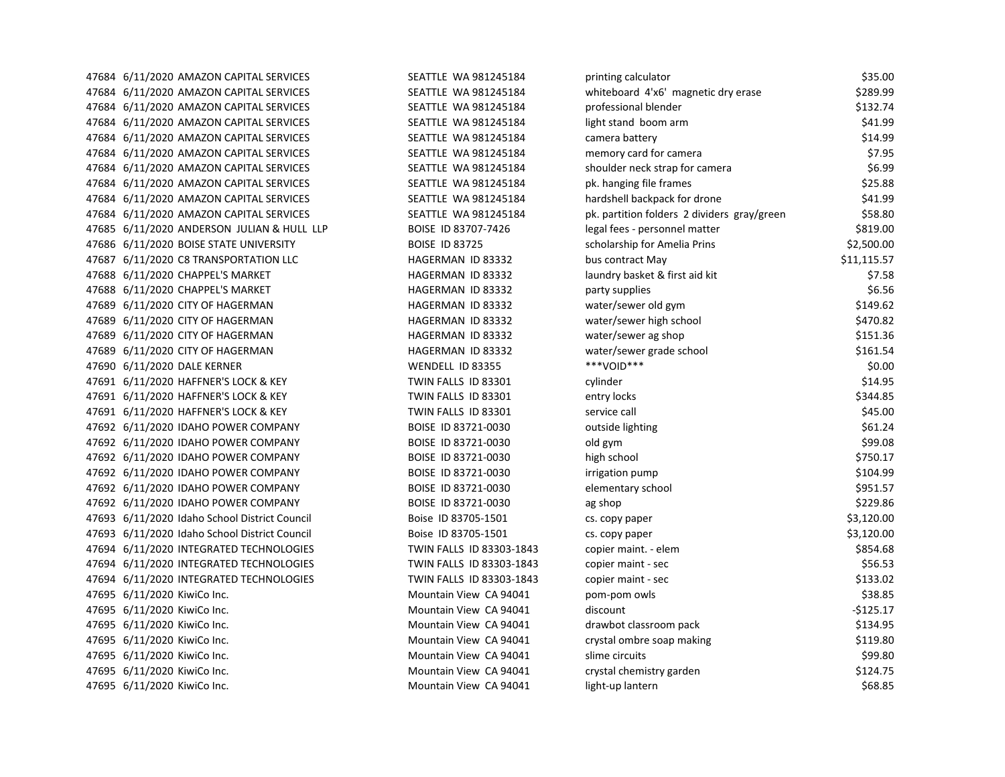|  | 47684 6/11/2020 AMAZON CAPITAL SERVICES       | SEATTLE WA 981245184     | printing calculator                         | \$35.00     |
|--|-----------------------------------------------|--------------------------|---------------------------------------------|-------------|
|  | 47684 6/11/2020 AMAZON CAPITAL SERVICES       | SEATTLE WA 981245184     | whiteboard 4'x6' magnetic dry erase         | \$289.99    |
|  | 47684 6/11/2020 AMAZON CAPITAL SERVICES       | SEATTLE WA 981245184     | professional blender                        | \$132.74    |
|  | 47684 6/11/2020 AMAZON CAPITAL SERVICES       | SEATTLE WA 981245184     | light stand boom arm                        | \$41.99     |
|  | 47684 6/11/2020 AMAZON CAPITAL SERVICES       | SEATTLE WA 981245184     | camera battery                              | \$14.99     |
|  | 47684 6/11/2020 AMAZON CAPITAL SERVICES       | SEATTLE WA 981245184     | memory card for camera                      | \$7.95      |
|  | 47684 6/11/2020 AMAZON CAPITAL SERVICES       | SEATTLE WA 981245184     | shoulder neck strap for camera              | \$6.99      |
|  | 47684 6/11/2020 AMAZON CAPITAL SERVICES       | SEATTLE WA 981245184     | pk. hanging file frames                     | \$25.88     |
|  | 47684 6/11/2020 AMAZON CAPITAL SERVICES       | SEATTLE WA 981245184     | hardshell backpack for drone                | \$41.99     |
|  | 47684 6/11/2020 AMAZON CAPITAL SERVICES       | SEATTLE WA 981245184     | pk. partition folders 2 dividers gray/green | \$58.80     |
|  | 47685 6/11/2020 ANDERSON JULIAN & HULL LLP    | BOISE ID 83707-7426      | legal fees - personnel matter               | \$819.00    |
|  | 47686 6/11/2020 BOISE STATE UNIVERSITY        | <b>BOISE ID 83725</b>    | scholarship for Amelia Prins                | \$2,500.00  |
|  | 47687 6/11/2020 C8 TRANSPORTATION LLC         | HAGERMAN ID 83332        | bus contract May                            | \$11,115.57 |
|  | 47688 6/11/2020 CHAPPEL'S MARKET              | HAGERMAN ID 83332        | laundry basket & first aid kit              | \$7.58      |
|  | 47688 6/11/2020 CHAPPEL'S MARKET              | HAGERMAN ID 83332        | party supplies                              | \$6.56      |
|  | 47689 6/11/2020 CITY OF HAGERMAN              | HAGERMAN ID 83332        | water/sewer old gym                         | \$149.62    |
|  | 47689 6/11/2020 CITY OF HAGERMAN              | HAGERMAN ID 83332        | water/sewer high school                     | \$470.82    |
|  | 47689 6/11/2020 CITY OF HAGERMAN              | HAGERMAN ID 83332        | water/sewer ag shop                         | \$151.36    |
|  | 47689 6/11/2020 CITY OF HAGERMAN              | HAGERMAN ID 83332        | water/sewer grade school                    | \$161.54    |
|  | 47690 6/11/2020 DALE KERNER                   | WENDELL ID 83355         | ***VOID***                                  | \$0.00      |
|  | 47691 6/11/2020 HAFFNER'S LOCK & KEY          | TWIN FALLS ID 83301      | cylinder                                    | \$14.95     |
|  | 47691 6/11/2020 HAFFNER'S LOCK & KEY          | TWIN FALLS ID 83301      | entry locks                                 | \$344.85    |
|  | 47691 6/11/2020 HAFFNER'S LOCK & KEY          | TWIN FALLS ID 83301      | service call                                | \$45.00     |
|  | 47692 6/11/2020 IDAHO POWER COMPANY           | BOISE ID 83721-0030      | outside lighting                            | \$61.24     |
|  | 47692 6/11/2020 IDAHO POWER COMPANY           | BOISE ID 83721-0030      | old gym                                     | \$99.08     |
|  | 47692 6/11/2020 IDAHO POWER COMPANY           | BOISE ID 83721-0030      | high school                                 | \$750.17    |
|  | 47692 6/11/2020 IDAHO POWER COMPANY           | BOISE ID 83721-0030      | irrigation pump                             | \$104.99    |
|  | 47692 6/11/2020 IDAHO POWER COMPANY           | BOISE ID 83721-0030      | elementary school                           | \$951.57    |
|  | 47692 6/11/2020 IDAHO POWER COMPANY           | BOISE ID 83721-0030      | ag shop                                     | \$229.86    |
|  | 47693 6/11/2020 Idaho School District Council | Boise ID 83705-1501      | cs. copy paper                              | \$3,120.00  |
|  | 47693 6/11/2020 Idaho School District Council | Boise ID 83705-1501      | cs. copy paper                              | \$3,120.00  |
|  | 47694 6/11/2020 INTEGRATED TECHNOLOGIES       | TWIN FALLS ID 83303-1843 | copier maint. - elem                        | \$854.68    |
|  | 47694 6/11/2020 INTEGRATED TECHNOLOGIES       | TWIN FALLS ID 83303-1843 | copier maint - sec                          | \$56.53     |
|  | 47694 6/11/2020 INTEGRATED TECHNOLOGIES       | TWIN FALLS ID 83303-1843 | copier maint - sec                          | \$133.02    |
|  | 47695 6/11/2020 KiwiCo Inc.                   | Mountain View CA 94041   | pom-pom owls                                | \$38.85     |
|  | 47695 6/11/2020 KiwiCo Inc.                   | Mountain View CA 94041   | discount                                    | -\$125.17   |
|  | 47695 6/11/2020 KiwiCo Inc.                   | Mountain View CA 94041   | drawbot classroom pack                      | \$134.95    |
|  | 47695 6/11/2020 KiwiCo Inc.                   | Mountain View CA 94041   | crystal ombre soap making                   | \$119.80    |
|  | 47695 6/11/2020 KiwiCo Inc.                   | Mountain View CA 94041   | slime circuits                              | \$99.80     |
|  | 47695 6/11/2020 KiwiCo Inc.                   | Mountain View CA 94041   | crystal chemistry garden                    | \$124.75    |
|  | 47695 6/11/2020 KiwiCo Inc.                   | Mountain View CA 94041   | light-up lantern                            | \$68.85     |
|  |                                               |                          |                                             |             |

| printing calculator                         | \$35.00     |
|---------------------------------------------|-------------|
| whiteboard 4'x6' magnetic dry erase         | \$289.99    |
| professional blender                        | \$132.74    |
| light stand boom arm                        | \$41.99     |
| camera battery                              | \$14.99     |
| memory card for camera                      | \$7.95      |
| shoulder neck strap for camera              | \$6.99      |
| pk. hanging file frames                     | \$25.88     |
| hardshell backpack for drone                | \$41.99     |
| pk. partition folders 2 dividers gray/green | \$58.80     |
| legal fees - personnel matter               | \$819.00    |
| scholarship for Amelia Prins                | \$2,500.00  |
| bus contract May                            | \$11,115.57 |
| laundry basket & first aid kit              | \$7.58      |
| party supplies                              | \$6.56      |
| water/sewer old gym                         | \$149.62    |
| water/sewer high school                     | \$470.82    |
| water/sewer ag shop                         | \$151.36    |
| water/sewer grade school                    | \$161.54    |
| ***VOID***                                  | \$0.00      |
| cylinder                                    | \$14.95     |
| entry locks                                 | \$344.85    |
| service call                                | \$45.00     |
| outside lighting                            | \$61.24     |
| old gym                                     | \$99.08     |
| high school                                 | \$750.17    |
| irrigation pump                             | \$104.99    |
| elementary school                           | \$951.57    |
| ag shop                                     | \$229.86    |
| cs. copy paper                              | \$3,120.00  |
| cs. copy paper                              | \$3,120.00  |
| copier maint. - elem                        | \$854.68    |
| copier maint - sec                          | \$56.53     |
| copier maint - sec                          | \$133.02    |
| pom-pom owls                                | \$38.85     |
| discount                                    | -\$125.17   |
| drawbot classroom pack                      | \$134.95    |
| crystal ombre soap making                   | \$119.80    |
| slime circuits                              | \$99.80     |
| crystal chemistry garden                    | \$124.75    |
| light-up lantern                            | \$68.85     |
|                                             |             |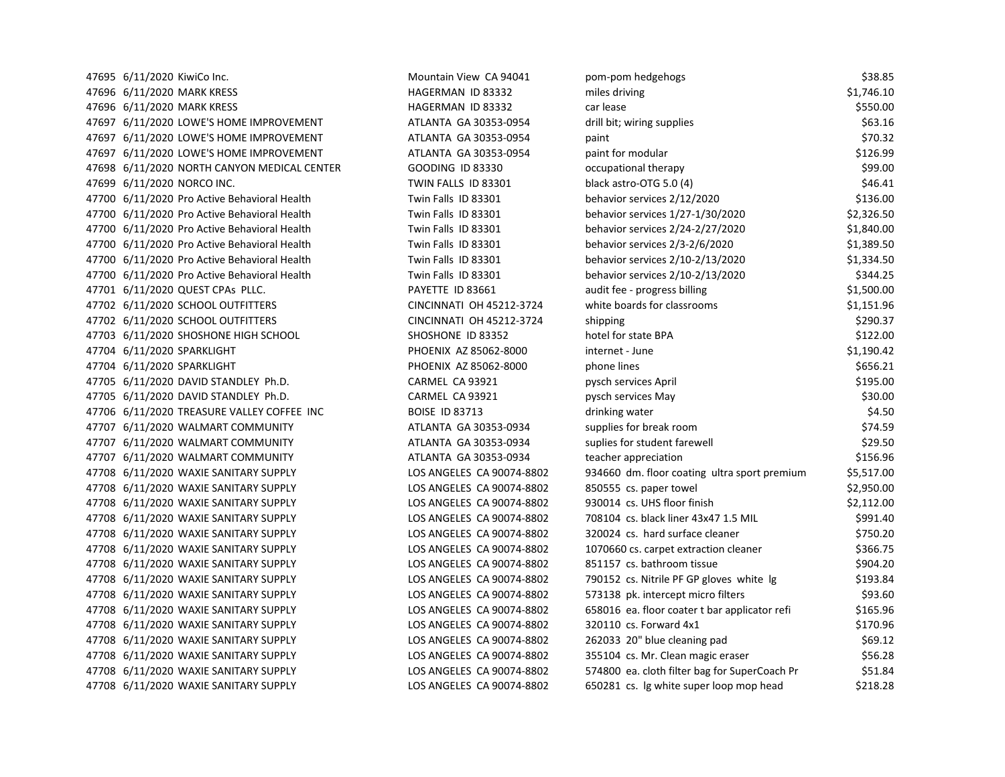47695 6/11/2020 KiwiCo Inc. https://www.mateural.com/mountain View CA 94041 pom-47696 6/11/2020 MARK KRESS TERMED AND HAGERMAN ID 83332 TERMED & 1,146.100 MARK KRESS 47696 6/11/2020 MARK KRESS HAGERMAN ID 83332 47697 6/11/2020 LOWE'S HOME IMPROVEMENT ATLANTA GA 30353-0954 c 47697 6/11/2020 LOWE'S HOME IMPROVEMENT ATLANTA GA 30353-0954 47697 6/11/2020 LOWE'S HOME IMPROVEMENT ATLANTA GA 30353-0954 47698 6/11/2020 NORTH CANYON MEDICAL CENTER GOODING ID 83330 companies 47699 6/11/2020 NORCO INC. TWIN FALLS ID 83301 47700 6/11/2020 Pro Active Behavioral Health Twin Falls ID 83301 47700 6/11/2020 Pro Active Behavioral Health Twin Falls ID 83301 47700 6/11/2020 Pro Active Behavioral Health Twin Falls ID 83301 47700 6/11/2020 Pro Active Behavioral Health Twin Falls ID 83301 47700 6/11/2020 Pro Active Behavioral Health Twin Falls ID 83301 47700 6/11/2020 Pro Active Behavioral Health Twin Falls ID 83301 47701 6/11/2020 QUEST CPAs PLLC. PAYETTE ID 83661 47702 6/11/2020 SCHOOL OUTFITTERS CINCINNATI OH 45212-3724 white boards for classrooms \$1,151.972.9724 47702 6/11/2020 SCHOOL OUTFITTERS CINCINNATI OH 45212-3724 s 47703 6/11/2020 SHOSHONE HIGH SCHOOL SHOSHONE ID 83352 47704 6/11/2020 SPARKLIGHT **PHOENIX AZ 85062-8000** internet - June 47704 6/11/2020 SPARKLIGHT 47704 6/11/2020 SPARKLIGHT **PHOENIX AZ 85062-8000** p 47705 6/11/2020 DAVID STANDLEY Ph.D. CARMEL CA 93921 47705 6/11/2020 DAVID STANDLEY Ph.D. CARMEL CA 93921 47706 6/11/2020 TREASURE VALLEY COFFEE INC BOISE ID 83713 creater and an archive water and the state of the state of the state  $\alpha$ 47707 6/11/2020 WALMART COMMUNITY ATLANTA GA 30353-0934 s 47707 6/11/2020 WALMART COMMUNITY **ATLANTA GA 30353-0934** 47707 6/11/2020 WALMART COMMUNITY ATLANTA GA 30353-0934 teacher approach 47708 6/11/2020 WAXIE SANITARY SUPPLY LOS ANGELES CA 90074-8802 47708 6/11/2020 WAXIE SANITARY SUPPLY LOS ANGELES CA 90074-8802 47708 6/11/2020 WAXIE SANITARY SUPPLY LOS ANGELES CA 90074-8802 47708 6/11/2020 WAXIE SANITARY SUPPLY LOS ANGELES CA 90074-8802 47708 6/11/2020 WAXIE SANITARY SUPPLY LOS ANGELES CA 90074-8802 47708 6/11/2020 WAXIE SANITARY SUPPLY LOS ANGELES CA 90074-8802 47708 6/11/2020 WAXIE SANITARY SUPPLY LOS ANGELES CA 90074-8802 851157 cs. 47708 6/11/2020 WAXIE SANITARY SUPPLY LOS ANGELES CA 90074-8802 47708 6/11/2020 WAXIE SANITARY SUPPLY LOS ANGELES CA 90074-8802 5 47708 6/11/2020 WAXIE SANITARY SUPPLY LOS ANGELES CA 90074-8802 6581. 47708 6/11/2020 WAXIE SANITARY SUPPLY LOS ANGELES CA 90074-8802 3 47708 6/11/2020 WAXIE SANITARY SUPPLY LOS ANGELES CA 90074-8802 47708 6/11/2020 WAXIE SANITARY SUPPLY LOS ANGELES CA 90074-8802 35 47708 6/11/2020 WAXIE SANITARY SUPPLY LOS ANGELES CA 90074-8802 5 47708 6/11/2020 WAXIE SANITARY SUPPLY LOS ANGELES CA 90074-8802 6500

| oom-pom hedgehogs                             | \$38.85    |
|-----------------------------------------------|------------|
| miles driving                                 | \$1,746.10 |
| car lease                                     | \$550.00   |
| drill bit; wiring supplies                    | \$63.16    |
| oaint                                         | \$70.32    |
| paint for modular                             | \$126.99   |
| occupational therapy                          | \$99.00    |
| olack astro-OTG 5.0 (4)                       | \$46.41    |
| oehavior services 2/12/2020                   | \$136.00   |
| oehavior services 1/27-1/30/2020              | \$2,326.50 |
| oehavior services 2/24-2/27/2020              | \$1,840.00 |
| oehavior services 2/3-2/6/2020                | \$1,389.50 |
| oehavior services 2/10-2/13/2020              | \$1,334.50 |
| oehavior services 2/10-2/13/2020              | \$344.25   |
| audit fee - progress billing                  | \$1,500.00 |
| white boards for classrooms                   | \$1,151.96 |
| shipping                                      | \$290.37   |
| notel for state BPA                           | \$122.00   |
| nternet - June                                | \$1,190.42 |
| ohone lines                                   | \$656.21   |
| oysch services April                          | \$195.00   |
| bysch services May                            | \$30.00    |
| drinking water                                | \$4.50     |
| supplies for break room                       | \$74.59    |
| suplies for student farewell                  | \$29.50    |
| teacher appreciation                          | \$156.96   |
| 934660 dm. floor coating ultra sport premium  | \$5,517.00 |
| 350555 cs. paper towel                        | \$2,950.00 |
| 930014 cs. UHS floor finish                   | \$2,112.00 |
| 708104 cs. black liner 43x47 1.5 MIL          | \$991.40   |
| 320024 cs. hard surface cleaner               | \$750.20   |
| 1070660 cs. carpet extraction cleaner         | \$366.75   |
| 351157 cs. bathroom tissue                    | \$904.20   |
| 790152 cs. Nitrile PF GP gloves white Ig      | \$193.84   |
| 573138 pk. intercept micro filters            | \$93.60    |
| 558016 ea. floor coater t bar applicator refi | \$165.96   |
| 320110 cs. Forward 4x1                        | \$170.96   |
| 262033 20" blue cleaning pad                  | \$69.12    |
| 355104 cs. Mr. Clean magic eraser             | \$56.28    |
| 574800 ea. cloth filter bag for SuperCoach Pr | \$51.84    |
| 550281 cs. Ig white super loop mop head       | \$218.28   |
|                                               |            |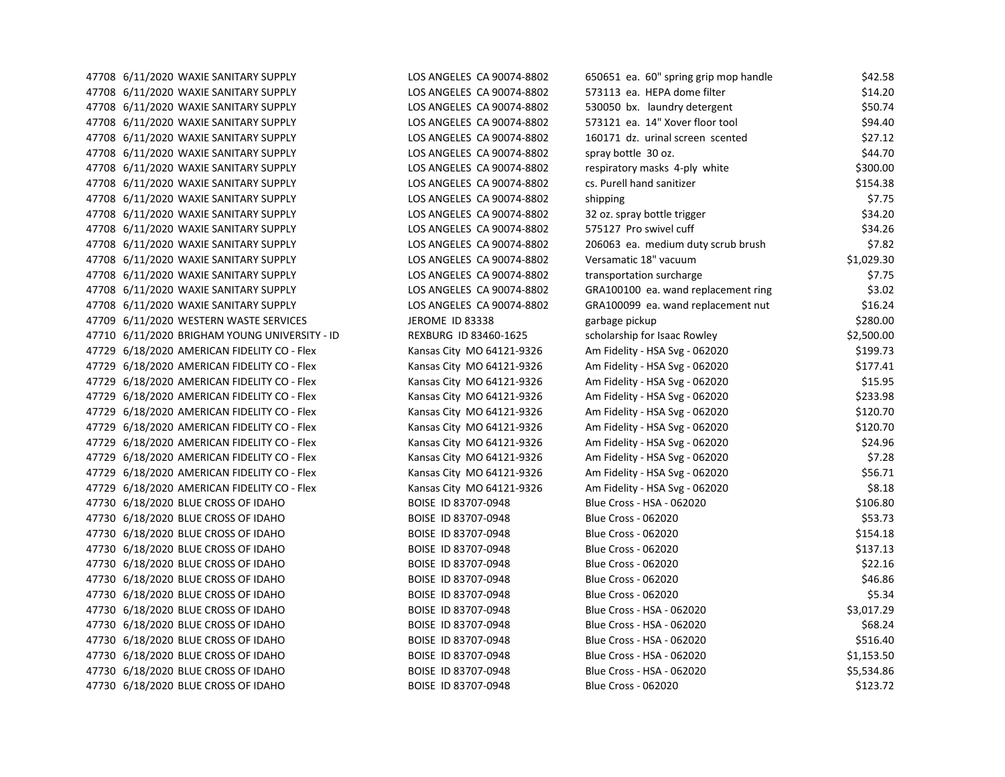| 47708 6/11/2020 WAXIE SANITARY SUPPLY         | LOS ANGELES CA 90074-8802    | 650651 ea. 60" spring grip mop handle | \$42.58    |
|-----------------------------------------------|------------------------------|---------------------------------------|------------|
| 47708 6/11/2020 WAXIE SANITARY SUPPLY         | LOS ANGELES CA 90074-8802    | 573113 ea. HEPA dome filter           | \$14.20    |
| 47708 6/11/2020 WAXIE SANITARY SUPPLY         | LOS ANGELES CA 90074-8802    | 530050 bx. laundry detergent          | \$50.74    |
| 47708 6/11/2020 WAXIE SANITARY SUPPLY         | LOS ANGELES CA 90074-8802    | 573121 ea. 14" Xover floor tool       | \$94.40    |
| 47708 6/11/2020 WAXIE SANITARY SUPPLY         | LOS ANGELES CA 90074-8802    | 160171 dz. urinal screen scented      | \$27.12    |
| 47708 6/11/2020 WAXIE SANITARY SUPPLY         | LOS ANGELES CA 90074-8802    | spray bottle 30 oz.                   | \$44.70    |
| 47708 6/11/2020 WAXIE SANITARY SUPPLY         | LOS ANGELES CA 90074-8802    | respiratory masks 4-ply white         | \$300.00   |
| 47708 6/11/2020 WAXIE SANITARY SUPPLY         | LOS ANGELES CA 90074-8802    | cs. Purell hand sanitizer             | \$154.38   |
| 47708 6/11/2020 WAXIE SANITARY SUPPLY         | LOS ANGELES CA 90074-8802    | shipping                              | \$7.75     |
| 47708 6/11/2020 WAXIE SANITARY SUPPLY         | LOS ANGELES CA 90074-8802    | 32 oz. spray bottle trigger           | \$34.20    |
| 47708 6/11/2020 WAXIE SANITARY SUPPLY         | LOS ANGELES CA 90074-8802    | 575127 Pro swivel cuff                | \$34.26    |
| 47708 6/11/2020 WAXIE SANITARY SUPPLY         | LOS ANGELES CA 90074-8802    | 206063 ea. medium duty scrub brush    | \$7.82     |
| 47708 6/11/2020 WAXIE SANITARY SUPPLY         | LOS ANGELES CA 90074-8802    | Versamatic 18" vacuum                 | \$1,029.30 |
| 47708 6/11/2020 WAXIE SANITARY SUPPLY         | LOS ANGELES CA 90074-8802    | transportation surcharge              | \$7.75     |
| 47708 6/11/2020 WAXIE SANITARY SUPPLY         | LOS ANGELES CA 90074-8802    | GRA100100 ea. wand replacement ring   | \$3.02     |
| 47708 6/11/2020 WAXIE SANITARY SUPPLY         | LOS ANGELES CA 90074-8802    | GRA100099 ea. wand replacement nut    | \$16.24    |
| 47709 6/11/2020 WESTERN WASTE SERVICES        | JEROME ID 83338              | garbage pickup                        | \$280.00   |
| 47710 6/11/2020 BRIGHAM YOUNG UNIVERSITY - ID | <b>REXBURG ID 83460-1625</b> | scholarship for Isaac Rowley          | \$2,500.00 |
| 47729 6/18/2020 AMERICAN FIDELITY CO - Flex   | Kansas City MO 64121-9326    | Am Fidelity - HSA Svg - 062020        | \$199.73   |
| 47729 6/18/2020 AMERICAN FIDELITY CO - Flex   | Kansas City MO 64121-9326    | Am Fidelity - HSA Svg - 062020        | \$177.41   |
| 47729 6/18/2020 AMERICAN FIDELITY CO - Flex   | Kansas City MO 64121-9326    | Am Fidelity - HSA Svg - 062020        | \$15.95    |
| 47729 6/18/2020 AMERICAN FIDELITY CO - Flex   | Kansas City MO 64121-9326    | Am Fidelity - HSA Svg - 062020        | \$233.98   |
| 47729 6/18/2020 AMERICAN FIDELITY CO - Flex   | Kansas City MO 64121-9326    | Am Fidelity - HSA Svg - 062020        | \$120.70   |
| 47729 6/18/2020 AMERICAN FIDELITY CO - Flex   | Kansas City MO 64121-9326    | Am Fidelity - HSA Svg - 062020        | \$120.70   |
| 47729 6/18/2020 AMERICAN FIDELITY CO - Flex   | Kansas City MO 64121-9326    | Am Fidelity - HSA Svg - 062020        | \$24.96    |
| 47729 6/18/2020 AMERICAN FIDELITY CO - Flex   | Kansas City MO 64121-9326    | Am Fidelity - HSA Svg - 062020        | \$7.28     |
| 47729 6/18/2020 AMERICAN FIDELITY CO - Flex   | Kansas City MO 64121-9326    | Am Fidelity - HSA Svg - 062020        | \$56.71    |
| 47729 6/18/2020 AMERICAN FIDELITY CO - Flex   | Kansas City MO 64121-9326    | Am Fidelity - HSA Svg - 062020        | \$8.18     |
| 47730 6/18/2020 BLUE CROSS OF IDAHO           | BOISE ID 83707-0948          | Blue Cross - HSA - 062020             | \$106.80   |
| 47730 6/18/2020 BLUE CROSS OF IDAHO           | BOISE ID 83707-0948          | <b>Blue Cross - 062020</b>            | \$53.73    |
| 47730 6/18/2020 BLUE CROSS OF IDAHO           | BOISE ID 83707-0948          | <b>Blue Cross - 062020</b>            | \$154.18   |
| 47730 6/18/2020 BLUE CROSS OF IDAHO           | BOISE ID 83707-0948          | <b>Blue Cross - 062020</b>            | \$137.13   |
| 47730 6/18/2020 BLUE CROSS OF IDAHO           | BOISE ID 83707-0948          | <b>Blue Cross - 062020</b>            | \$22.16    |
| 47730 6/18/2020 BLUE CROSS OF IDAHO           | BOISE ID 83707-0948          | <b>Blue Cross - 062020</b>            | \$46.86    |
| 47730 6/18/2020 BLUE CROSS OF IDAHO           | BOISE ID 83707-0948          | <b>Blue Cross - 062020</b>            | \$5.34     |
| 47730 6/18/2020 BLUE CROSS OF IDAHO           | BOISE ID 83707-0948          | Blue Cross - HSA - 062020             | \$3,017.29 |
| 47730 6/18/2020 BLUE CROSS OF IDAHO           | BOISE ID 83707-0948          | Blue Cross - HSA - 062020             | \$68.24    |
| 47730 6/18/2020 BLUE CROSS OF IDAHO           | BOISE ID 83707-0948          | Blue Cross - HSA - 062020             | \$516.40   |
| 47730 6/18/2020 BLUE CROSS OF IDAHO           | BOISE ID 83707-0948          | Blue Cross - HSA - 062020             | \$1,153.50 |
| 47730 6/18/2020 BLUE CROSS OF IDAHO           | BOISE ID 83707-0948          | Blue Cross - HSA - 062020             | \$5,534.86 |
| 47730 6/18/2020 BLUE CROSS OF IDAHO           | BOISE ID 83707-0948          | <b>Blue Cross - 062020</b>            | \$123.72   |
|                                               |                              |                                       |            |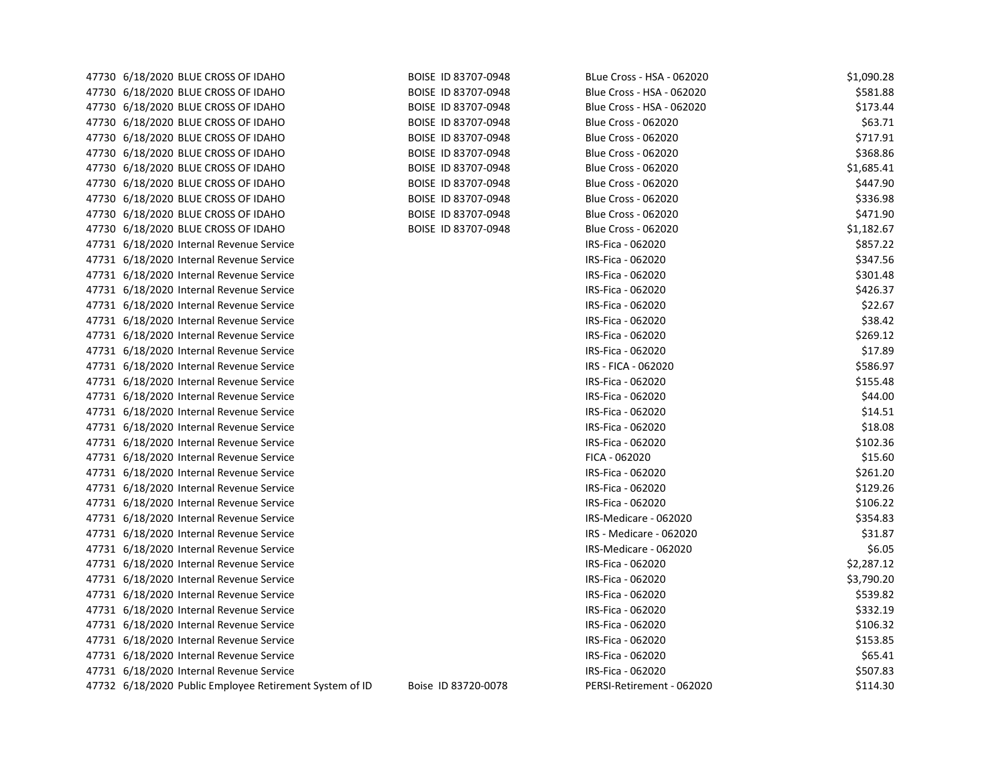| 47730 6/18/2020 BLUE CROSS OF IDAHO                     | BOISE ID 83707-0948 | BLue Cross - HSA - 062020  | \$1,090.28 |
|---------------------------------------------------------|---------------------|----------------------------|------------|
| 47730 6/18/2020 BLUE CROSS OF IDAHO                     | BOISE ID 83707-0948 | Blue Cross - HSA - 062020  | \$581.88   |
| 47730 6/18/2020 BLUE CROSS OF IDAHO                     | BOISE ID 83707-0948 | Blue Cross - HSA - 062020  | \$173.44   |
| 47730 6/18/2020 BLUE CROSS OF IDAHO                     | BOISE ID 83707-0948 | <b>Blue Cross - 062020</b> | \$63.71    |
| 47730 6/18/2020 BLUE CROSS OF IDAHO                     | BOISE ID 83707-0948 | <b>Blue Cross - 062020</b> | \$717.91   |
| 47730 6/18/2020 BLUE CROSS OF IDAHO                     | BOISE ID 83707-0948 | <b>Blue Cross - 062020</b> | \$368.86   |
| 47730 6/18/2020 BLUE CROSS OF IDAHO                     | BOISE ID 83707-0948 | <b>Blue Cross - 062020</b> | \$1,685.41 |
| 47730 6/18/2020 BLUE CROSS OF IDAHO                     | BOISE ID 83707-0948 | <b>Blue Cross - 062020</b> | \$447.90   |
| 47730 6/18/2020 BLUE CROSS OF IDAHO                     | BOISE ID 83707-0948 | <b>Blue Cross - 062020</b> | \$336.98   |
| 47730 6/18/2020 BLUE CROSS OF IDAHO                     | BOISE ID 83707-0948 | <b>Blue Cross - 062020</b> | \$471.90   |
| 47730 6/18/2020 BLUE CROSS OF IDAHO                     | BOISE ID 83707-0948 | <b>Blue Cross - 062020</b> | \$1,182.67 |
| 47731 6/18/2020 Internal Revenue Service                |                     | IRS-Fica - 062020          | \$857.22   |
| 47731 6/18/2020 Internal Revenue Service                |                     | IRS-Fica - 062020          | \$347.56   |
| 47731 6/18/2020 Internal Revenue Service                |                     | IRS-Fica - 062020          | \$301.48   |
| 47731 6/18/2020 Internal Revenue Service                |                     | IRS-Fica - 062020          | \$426.37   |
| 47731 6/18/2020 Internal Revenue Service                |                     | IRS-Fica - 062020          | \$22.67    |
| 47731 6/18/2020 Internal Revenue Service                |                     | IRS-Fica - 062020          | \$38.42    |
| 47731 6/18/2020 Internal Revenue Service                |                     | IRS-Fica - 062020          | \$269.12   |
| 47731 6/18/2020 Internal Revenue Service                |                     | IRS-Fica - 062020          | \$17.89    |
| 47731 6/18/2020 Internal Revenue Service                |                     | IRS - FICA - 062020        | \$586.97   |
| 47731 6/18/2020 Internal Revenue Service                |                     | IRS-Fica - 062020          | \$155.48   |
| 47731 6/18/2020 Internal Revenue Service                |                     | IRS-Fica - 062020          | \$44.00    |
| 47731 6/18/2020 Internal Revenue Service                |                     | IRS-Fica - 062020          | \$14.51    |
| 47731 6/18/2020 Internal Revenue Service                |                     | IRS-Fica - 062020          | \$18.08    |
| 47731 6/18/2020 Internal Revenue Service                |                     | IRS-Fica - 062020          | \$102.36   |
| 47731 6/18/2020 Internal Revenue Service                |                     | FICA - 062020              | \$15.60    |
| 47731 6/18/2020 Internal Revenue Service                |                     | IRS-Fica - 062020          | \$261.20   |
| 47731 6/18/2020 Internal Revenue Service                |                     | IRS-Fica - 062020          | \$129.26   |
| 47731 6/18/2020 Internal Revenue Service                |                     | IRS-Fica - 062020          | \$106.22   |
| 47731 6/18/2020 Internal Revenue Service                |                     | IRS-Medicare - 062020      | \$354.83   |
| 47731 6/18/2020 Internal Revenue Service                |                     | IRS - Medicare - 062020    | \$31.87    |
| 47731 6/18/2020 Internal Revenue Service                |                     | IRS-Medicare - 062020      | \$6.05     |
| 47731 6/18/2020 Internal Revenue Service                |                     | IRS-Fica - 062020          | \$2,287.12 |
| 47731 6/18/2020 Internal Revenue Service                |                     | IRS-Fica - 062020          | \$3,790.20 |
| 47731 6/18/2020 Internal Revenue Service                |                     | IRS-Fica - 062020          | \$539.82   |
| 47731 6/18/2020 Internal Revenue Service                |                     | IRS-Fica - 062020          | \$332.19   |
| 47731 6/18/2020 Internal Revenue Service                |                     | IRS-Fica - 062020          | \$106.32   |
| 47731 6/18/2020 Internal Revenue Service                |                     | IRS-Fica - 062020          | \$153.85   |
| 47731 6/18/2020 Internal Revenue Service                |                     | IRS-Fica - 062020          | \$65.41    |
| 47731 6/18/2020 Internal Revenue Service                |                     | IRS-Fica - 062020          | \$507.83   |
| 47732 6/18/2020 Public Employee Retirement System of ID | Boise ID 83720-0078 | PERSI-Retirement - 062020  | \$114.30   |
|                                                         |                     |                            |            |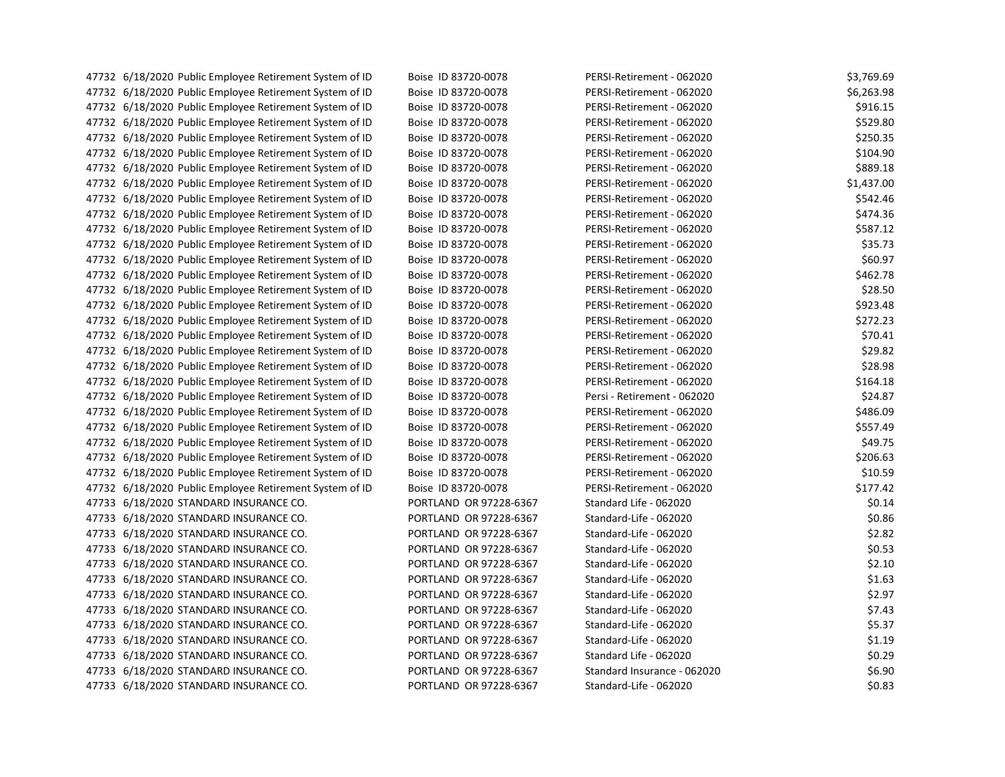| 47732 6/18/2020 Public Employee Retirement System of ID | Boise ID 83720-0078    | PERSI-Retirement - 062020   | \$3,769.69 |
|---------------------------------------------------------|------------------------|-----------------------------|------------|
| 47732 6/18/2020 Public Employee Retirement System of ID | Boise ID 83720-0078    | PERSI-Retirement - 062020   | \$6,263.98 |
| 47732 6/18/2020 Public Employee Retirement System of ID | Boise ID 83720-0078    | PERSI-Retirement - 062020   | \$916.15   |
| 47732 6/18/2020 Public Employee Retirement System of ID | Boise ID 83720-0078    | PERSI-Retirement - 062020   | \$529.80   |
| 47732 6/18/2020 Public Employee Retirement System of ID | Boise ID 83720-0078    | PERSI-Retirement - 062020   | \$250.35   |
| 47732 6/18/2020 Public Employee Retirement System of ID | Boise ID 83720-0078    | PERSI-Retirement - 062020   | \$104.90   |
| 47732 6/18/2020 Public Employee Retirement System of ID | Boise ID 83720-0078    | PERSI-Retirement - 062020   | \$889.18   |
| 47732 6/18/2020 Public Employee Retirement System of ID | Boise ID 83720-0078    | PERSI-Retirement - 062020   | \$1,437.00 |
| 47732 6/18/2020 Public Employee Retirement System of ID | Boise ID 83720-0078    | PERSI-Retirement - 062020   | \$542.46   |
| 47732 6/18/2020 Public Employee Retirement System of ID | Boise ID 83720-0078    | PERSI-Retirement - 062020   | \$474.36   |
| 47732 6/18/2020 Public Employee Retirement System of ID | Boise ID 83720-0078    | PERSI-Retirement - 062020   | \$587.12   |
| 47732 6/18/2020 Public Employee Retirement System of ID | Boise ID 83720-0078    | PERSI-Retirement - 062020   | \$35.73    |
| 47732 6/18/2020 Public Employee Retirement System of ID | Boise ID 83720-0078    | PERSI-Retirement - 062020   | \$60.97    |
| 47732 6/18/2020 Public Employee Retirement System of ID | Boise ID 83720-0078    | PERSI-Retirement - 062020   | \$462.78   |
| 47732 6/18/2020 Public Employee Retirement System of ID | Boise ID 83720-0078    | PERSI-Retirement - 062020   | \$28.50    |
| 47732 6/18/2020 Public Employee Retirement System of ID | Boise ID 83720-0078    | PERSI-Retirement - 062020   | \$923.48   |
| 47732 6/18/2020 Public Employee Retirement System of ID | Boise ID 83720-0078    | PERSI-Retirement - 062020   | \$272.23   |
| 47732 6/18/2020 Public Employee Retirement System of ID | Boise ID 83720-0078    | PERSI-Retirement - 062020   | \$70.41    |
| 47732 6/18/2020 Public Employee Retirement System of ID | Boise ID 83720-0078    | PERSI-Retirement - 062020   | \$29.82    |
| 47732 6/18/2020 Public Employee Retirement System of ID | Boise ID 83720-0078    | PERSI-Retirement - 062020   | \$28.98    |
| 47732 6/18/2020 Public Employee Retirement System of ID | Boise ID 83720-0078    | PERSI-Retirement - 062020   | \$164.18   |
| 47732 6/18/2020 Public Employee Retirement System of ID | Boise ID 83720-0078    | Persi - Retirement - 062020 | \$24.87    |
| 47732 6/18/2020 Public Employee Retirement System of ID | Boise ID 83720-0078    | PERSI-Retirement - 062020   | \$486.09   |
| 47732 6/18/2020 Public Employee Retirement System of ID | Boise ID 83720-0078    | PERSI-Retirement - 062020   | \$557.49   |
| 47732 6/18/2020 Public Employee Retirement System of ID | Boise ID 83720-0078    | PERSI-Retirement - 062020   | \$49.75    |
| 47732 6/18/2020 Public Employee Retirement System of ID | Boise ID 83720-0078    | PERSI-Retirement - 062020   | \$206.63   |
| 47732 6/18/2020 Public Employee Retirement System of ID | Boise ID 83720-0078    | PERSI-Retirement - 062020   | \$10.59    |
| 47732 6/18/2020 Public Employee Retirement System of ID | Boise ID 83720-0078    | PERSI-Retirement - 062020   | \$177.42   |
| 47733 6/18/2020 STANDARD INSURANCE CO.                  | PORTLAND OR 97228-6367 | Standard Life - 062020      | \$0.14     |
| 47733 6/18/2020 STANDARD INSURANCE CO.                  | PORTLAND OR 97228-6367 | Standard-Life - 062020      | \$0.86     |
| 47733 6/18/2020 STANDARD INSURANCE CO.                  | PORTLAND OR 97228-6367 | Standard-Life - 062020      | \$2.82     |
| 47733 6/18/2020 STANDARD INSURANCE CO.                  | PORTLAND OR 97228-6367 | Standard-Life - 062020      | \$0.53     |
| 47733 6/18/2020 STANDARD INSURANCE CO.                  | PORTLAND OR 97228-6367 | Standard-Life - 062020      | \$2.10     |
| 47733 6/18/2020 STANDARD INSURANCE CO.                  | PORTLAND OR 97228-6367 | Standard-Life - 062020      | \$1.63     |
| 47733 6/18/2020 STANDARD INSURANCE CO.                  | PORTLAND OR 97228-6367 | Standard-Life - 062020      | \$2.97     |
| 47733 6/18/2020 STANDARD INSURANCE CO.                  | PORTLAND OR 97228-6367 | Standard-Life - 062020      | \$7.43     |
| 47733 6/18/2020 STANDARD INSURANCE CO.                  | PORTLAND OR 97228-6367 | Standard-Life - 062020      | \$5.37     |
| 47733 6/18/2020 STANDARD INSURANCE CO.                  | PORTLAND OR 97228-6367 | Standard-Life - 062020      | \$1.19     |
| 47733 6/18/2020 STANDARD INSURANCE CO.                  | PORTLAND OR 97228-6367 | Standard Life - 062020      | \$0.29     |
| 47733 6/18/2020 STANDARD INSURANCE CO.                  | PORTLAND OR 97228-6367 | Standard Insurance - 062020 | \$6.90     |
| 47733 6/18/2020 STANDARD INSURANCE CO.                  | PORTLAND OR 97228-6367 | Standard-Life - 062020      | \$0.83     |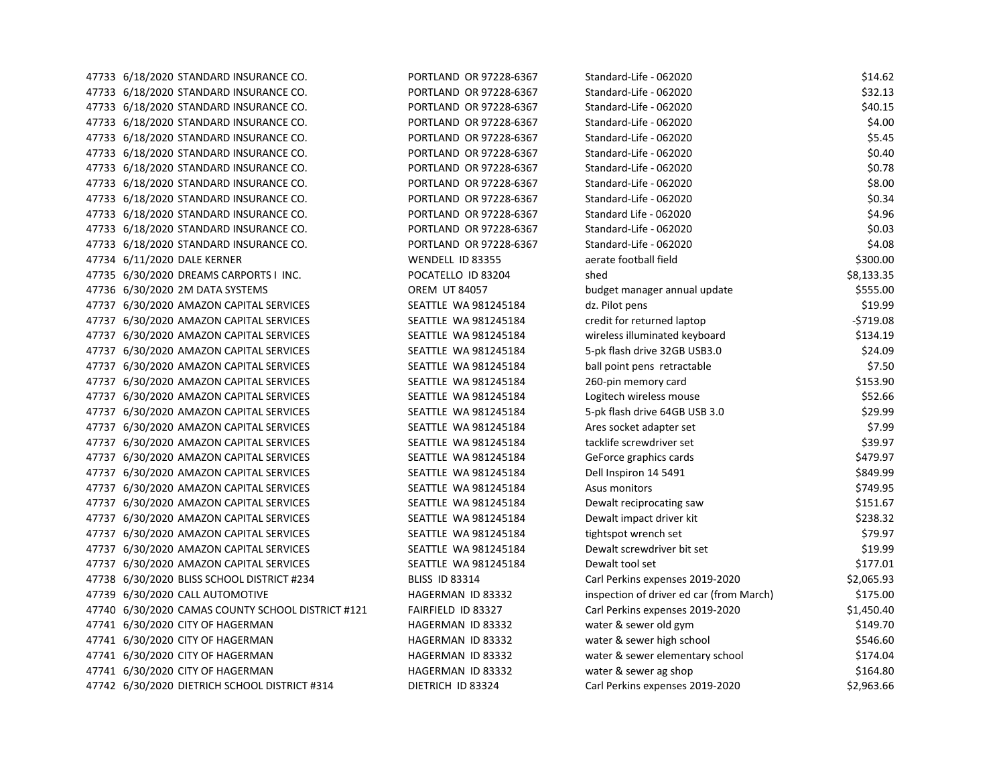| 47733 6/18/2020 STANDARD INSURANCE CO.            | PORTLAND OR 97228-6367 | Standard-Life - 062020                   | \$14.62    |
|---------------------------------------------------|------------------------|------------------------------------------|------------|
| 47733 6/18/2020 STANDARD INSURANCE CO.            | PORTLAND OR 97228-6367 | Standard-Life - 062020                   | \$32.13    |
| 47733 6/18/2020 STANDARD INSURANCE CO.            | PORTLAND OR 97228-6367 | Standard-Life - 062020                   | \$40.15    |
| 47733 6/18/2020 STANDARD INSURANCE CO.            | PORTLAND OR 97228-6367 | Standard-Life - 062020                   | \$4.00     |
| 47733 6/18/2020 STANDARD INSURANCE CO.            | PORTLAND OR 97228-6367 | Standard-Life - 062020                   | \$5.45     |
| 47733 6/18/2020 STANDARD INSURANCE CO.            | PORTLAND OR 97228-6367 | Standard-Life - 062020                   | \$0.40     |
| 47733 6/18/2020 STANDARD INSURANCE CO.            | PORTLAND OR 97228-6367 | Standard-Life - 062020                   | \$0.78     |
| 47733 6/18/2020 STANDARD INSURANCE CO.            | PORTLAND OR 97228-6367 | Standard-Life - 062020                   | \$8.00     |
| 47733 6/18/2020 STANDARD INSURANCE CO.            | PORTLAND OR 97228-6367 | Standard-Life - 062020                   | \$0.34     |
| 47733 6/18/2020 STANDARD INSURANCE CO.            | PORTLAND OR 97228-6367 | Standard Life - 062020                   | \$4.96     |
| 47733 6/18/2020 STANDARD INSURANCE CO.            | PORTLAND OR 97228-6367 | Standard-Life - 062020                   | \$0.03     |
| 47733 6/18/2020 STANDARD INSURANCE CO.            | PORTLAND OR 97228-6367 | Standard-Life - 062020                   | \$4.08     |
| 47734 6/11/2020 DALE KERNER                       | WENDELL ID 83355       | aerate football field                    | \$300.00   |
| 47735 6/30/2020 DREAMS CARPORTS I INC.            | POCATELLO ID 83204     | shed                                     | \$8,133.35 |
| 47736 6/30/2020 2M DATA SYSTEMS                   | <b>OREM UT 84057</b>   | budget manager annual update             | \$555.00   |
| 47737 6/30/2020 AMAZON CAPITAL SERVICES           | SEATTLE WA 981245184   | dz. Pilot pens                           | \$19.99    |
| 47737 6/30/2020 AMAZON CAPITAL SERVICES           | SEATTLE WA 981245184   | credit for returned laptop               | $-5719.08$ |
| 47737 6/30/2020 AMAZON CAPITAL SERVICES           | SEATTLE WA 981245184   | wireless illuminated keyboard            | \$134.19   |
| 47737 6/30/2020 AMAZON CAPITAL SERVICES           | SEATTLE WA 981245184   | 5-pk flash drive 32GB USB3.0             | \$24.09    |
| 47737 6/30/2020 AMAZON CAPITAL SERVICES           | SEATTLE WA 981245184   | ball point pens retractable              | \$7.50     |
| 47737 6/30/2020 AMAZON CAPITAL SERVICES           | SEATTLE WA 981245184   | 260-pin memory card                      | \$153.90   |
| 47737 6/30/2020 AMAZON CAPITAL SERVICES           | SEATTLE WA 981245184   | Logitech wireless mouse                  | \$52.66    |
| 47737 6/30/2020 AMAZON CAPITAL SERVICES           | SEATTLE WA 981245184   | 5-pk flash drive 64GB USB 3.0            | \$29.99    |
| 47737 6/30/2020 AMAZON CAPITAL SERVICES           | SEATTLE WA 981245184   | Ares socket adapter set                  | \$7.99     |
| 47737 6/30/2020 AMAZON CAPITAL SERVICES           | SEATTLE WA 981245184   | tacklife screwdriver set                 | \$39.97    |
| 47737 6/30/2020 AMAZON CAPITAL SERVICES           | SEATTLE WA 981245184   | GeForce graphics cards                   | \$479.97   |
| 47737 6/30/2020 AMAZON CAPITAL SERVICES           | SEATTLE WA 981245184   | Dell Inspiron 14 5491                    | \$849.99   |
| 47737 6/30/2020 AMAZON CAPITAL SERVICES           | SEATTLE WA 981245184   | Asus monitors                            | \$749.95   |
| 47737 6/30/2020 AMAZON CAPITAL SERVICES           | SEATTLE WA 981245184   | Dewalt reciprocating saw                 | \$151.67   |
| 47737 6/30/2020 AMAZON CAPITAL SERVICES           | SEATTLE WA 981245184   | Dewalt impact driver kit                 | \$238.32   |
| 47737 6/30/2020 AMAZON CAPITAL SERVICES           | SEATTLE WA 981245184   | tightspot wrench set                     | \$79.97    |
| 47737 6/30/2020 AMAZON CAPITAL SERVICES           | SEATTLE WA 981245184   | Dewalt screwdriver bit set               | \$19.99    |
| 47737 6/30/2020 AMAZON CAPITAL SERVICES           | SEATTLE WA 981245184   | Dewalt tool set                          | \$177.01   |
| 47738 6/30/2020 BLISS SCHOOL DISTRICT #234        | <b>BLISS ID 83314</b>  | Carl Perkins expenses 2019-2020          | \$2,065.93 |
| 47739 6/30/2020 CALL AUTOMOTIVE                   | HAGERMAN ID 83332      | inspection of driver ed car (from March) | \$175.00   |
| 47740 6/30/2020 CAMAS COUNTY SCHOOL DISTRICT #121 | FAIRFIELD ID 83327     | Carl Perkins expenses 2019-2020          | \$1,450.40 |
| 47741 6/30/2020 CITY OF HAGERMAN                  | HAGERMAN ID 83332      | water & sewer old gym                    | \$149.70   |
| 47741 6/30/2020 CITY OF HAGERMAN                  | HAGERMAN ID 83332      | water & sewer high school                | \$546.60   |
| 47741 6/30/2020 CITY OF HAGERMAN                  | HAGERMAN ID 83332      | water & sewer elementary school          | \$174.04   |
| 47741 6/30/2020 CITY OF HAGERMAN                  | HAGERMAN ID 83332      | water & sewer ag shop                    | \$164.80   |
| 47742 6/30/2020 DIETRICH SCHOOL DISTRICT #314     | DIETRICH ID 83324      | Carl Perkins expenses 2019-2020          | \$2,963.66 |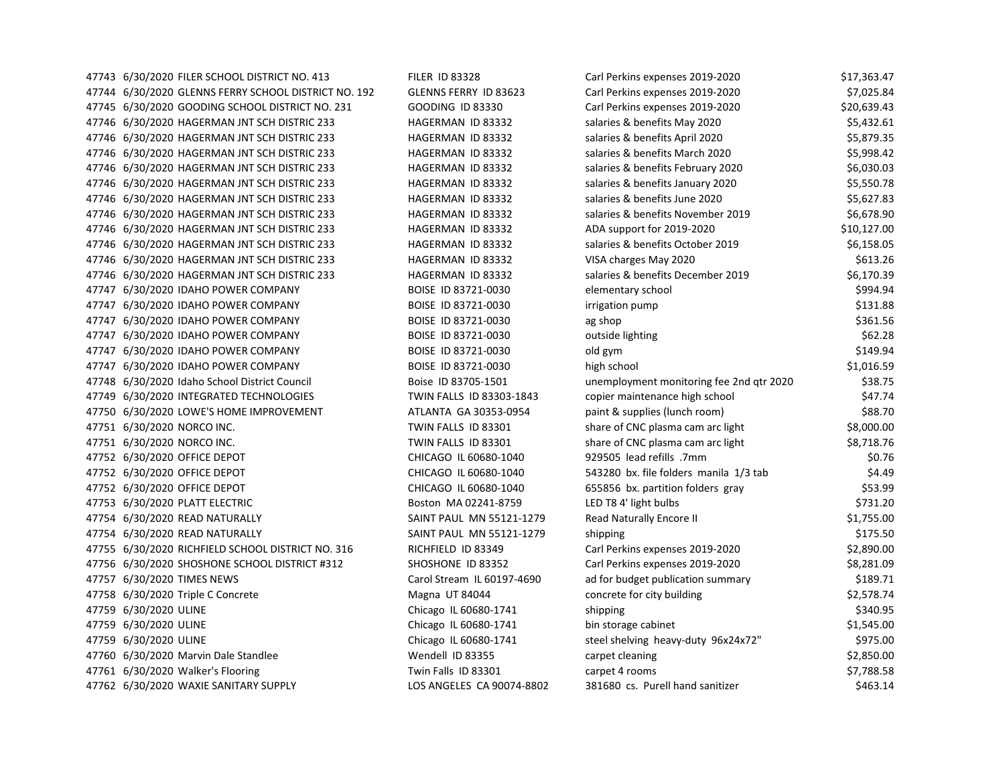| 47743 6/30/2020 FILER SCHOOL DISTRICT NO. 413        | <b>FILER ID 83328</b>      | Carl Perkins expenses 2019-2020          | \$17,363.47 |
|------------------------------------------------------|----------------------------|------------------------------------------|-------------|
| 47744 6/30/2020 GLENNS FERRY SCHOOL DISTRICT NO. 192 | GLENNS FERRY ID 83623      | Carl Perkins expenses 2019-2020          | \$7,025.84  |
| 47745 6/30/2020 GOODING SCHOOL DISTRICT NO. 231      | <b>GOODING ID 83330</b>    | Carl Perkins expenses 2019-2020          | \$20,639.43 |
| 47746 6/30/2020 HAGERMAN JNT SCH DISTRIC 233         | HAGERMAN ID 83332          | salaries & benefits May 2020             | \$5,432.61  |
| 47746 6/30/2020 HAGERMAN JNT SCH DISTRIC 233         | HAGERMAN ID 83332          | salaries & benefits April 2020           | \$5,879.35  |
| 47746 6/30/2020 HAGERMAN JNT SCH DISTRIC 233         | HAGERMAN ID 83332          | salaries & benefits March 2020           | \$5,998.42  |
| 47746 6/30/2020 HAGERMAN JNT SCH DISTRIC 233         | HAGERMAN ID 83332          | salaries & benefits February 2020        | \$6,030.03  |
| 47746 6/30/2020 HAGERMAN JNT SCH DISTRIC 233         | HAGERMAN ID 83332          | salaries & benefits January 2020         | \$5,550.78  |
| 47746 6/30/2020 HAGERMAN JNT SCH DISTRIC 233         | HAGERMAN ID 83332          | salaries & benefits June 2020            | \$5,627.83  |
| 47746 6/30/2020 HAGERMAN JNT SCH DISTRIC 233         | HAGERMAN ID 83332          | salaries & benefits November 2019        | \$6,678.90  |
| 47746 6/30/2020 HAGERMAN JNT SCH DISTRIC 233         | HAGERMAN ID 83332          | ADA support for 2019-2020                | \$10,127.00 |
| 47746 6/30/2020 HAGERMAN JNT SCH DISTRIC 233         | HAGERMAN ID 83332          | salaries & benefits October 2019         | \$6,158.05  |
| 47746 6/30/2020 HAGERMAN JNT SCH DISTRIC 233         | HAGERMAN ID 83332          | VISA charges May 2020                    | \$613.26    |
| 47746 6/30/2020 HAGERMAN JNT SCH DISTRIC 233         | HAGERMAN ID 83332          | salaries & benefits December 2019        | \$6,170.39  |
| 47747 6/30/2020 IDAHO POWER COMPANY                  | BOISE ID 83721-0030        | elementary school                        | \$994.94    |
| 47747 6/30/2020 IDAHO POWER COMPANY                  | BOISE ID 83721-0030        | irrigation pump                          | \$131.88    |
| 47747 6/30/2020 IDAHO POWER COMPANY                  | BOISE ID 83721-0030        | ag shop                                  | \$361.56    |
| 47747 6/30/2020 IDAHO POWER COMPANY                  | BOISE ID 83721-0030        | outside lighting                         | \$62.28     |
| 47747 6/30/2020 IDAHO POWER COMPANY                  | BOISE ID 83721-0030        | old gym                                  | \$149.94    |
| 47747 6/30/2020 IDAHO POWER COMPANY                  | BOISE ID 83721-0030        | high school                              | \$1,016.59  |
| 47748 6/30/2020 Idaho School District Council        | Boise ID 83705-1501        | unemployment monitoring fee 2nd qtr 2020 | \$38.75     |
| 47749 6/30/2020 INTEGRATED TECHNOLOGIES              | TWIN FALLS ID 83303-1843   | copier maintenance high school           | \$47.74     |
| 47750 6/30/2020 LOWE'S HOME IMPROVEMENT              | ATLANTA GA 30353-0954      | paint & supplies (lunch room)            | \$88.70     |
| 47751 6/30/2020 NORCO INC.                           | TWIN FALLS ID 83301        | share of CNC plasma cam arc light        | \$8,000.00  |
| 47751 6/30/2020 NORCO INC.                           | TWIN FALLS ID 83301        | share of CNC plasma cam arc light        | \$8,718.76  |
| 47752 6/30/2020 OFFICE DEPOT                         | CHICAGO IL 60680-1040      | 929505 lead refills .7mm                 | \$0.76      |
| 47752 6/30/2020 OFFICE DEPOT                         | CHICAGO IL 60680-1040      | 543280 bx. file folders manila 1/3 tab   | \$4.49      |
| 47752 6/30/2020 OFFICE DEPOT                         | CHICAGO IL 60680-1040      | 655856 bx. partition folders gray        | \$53.99     |
| 47753 6/30/2020 PLATT ELECTRIC                       | Boston MA 02241-8759       | LED T8 4' light bulbs                    | \$731.20    |
| 47754 6/30/2020 READ NATURALLY                       | SAINT PAUL MN 55121-1279   | <b>Read Naturally Encore II</b>          | \$1,755.00  |
| 47754 6/30/2020 READ NATURALLY                       | SAINT PAUL MN 55121-1279   | shipping                                 | \$175.50    |
| 47755 6/30/2020 RICHFIELD SCHOOL DISTRICT NO. 316    | RICHFIELD ID 83349         | Carl Perkins expenses 2019-2020          | \$2,890.00  |
| 47756 6/30/2020 SHOSHONE SCHOOL DISTRICT #312        | SHOSHONE ID 83352          | Carl Perkins expenses 2019-2020          | \$8,281.09  |
| 47757 6/30/2020 TIMES NEWS                           | Carol Stream IL 60197-4690 | ad for budget publication summary        | \$189.71    |
| 47758 6/30/2020 Triple C Concrete                    | Magna UT 84044             | concrete for city building               | \$2,578.74  |
| 47759 6/30/2020 ULINE                                | Chicago IL 60680-1741      | shipping                                 | \$340.95    |
| 47759 6/30/2020 ULINE                                | Chicago IL 60680-1741      | bin storage cabinet                      | \$1,545.00  |
| 47759 6/30/2020 ULINE                                | Chicago IL 60680-1741      | steel shelving heavy-duty 96x24x72"      | \$975.00    |
| 47760 6/30/2020 Marvin Dale Standlee                 | Wendell ID 83355           | carpet cleaning                          | \$2,850.00  |
| 47761 6/30/2020 Walker's Flooring                    | Twin Falls ID 83301        | carpet 4 rooms                           | \$7,788.58  |
| 47762 6/30/2020 WAXIE SANITARY SUPPLY                | LOS ANGELES CA 90074-8802  | 381680 cs. Purell hand sanitizer         | \$463.14    |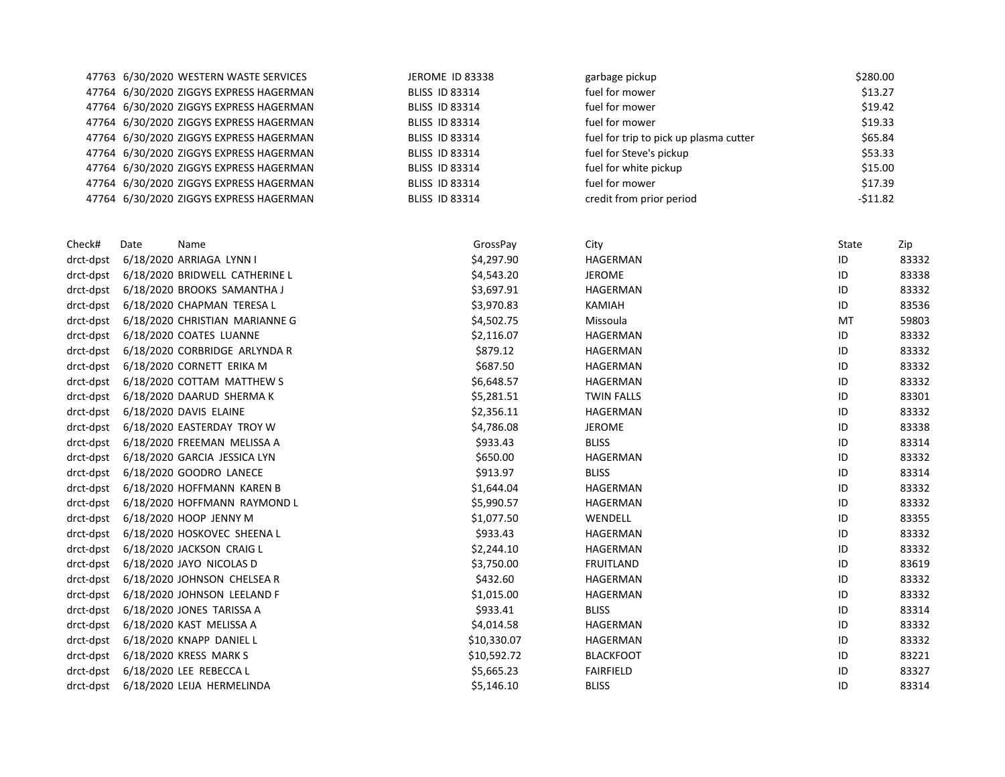|           |      | 47763 6/30/2020 WESTERN WASTE SERVICES  | JEROME ID 83338       | garbage pickup                         | \$280.00 |          |  |
|-----------|------|-----------------------------------------|-----------------------|----------------------------------------|----------|----------|--|
|           |      | 47764 6/30/2020 ZIGGYS EXPRESS HAGERMAN | <b>BLISS ID 83314</b> | fuel for mower                         | \$13.27  |          |  |
|           |      | 47764 6/30/2020 ZIGGYS EXPRESS HAGERMAN | <b>BLISS ID 83314</b> | fuel for mower                         | \$19.42  |          |  |
|           |      | 47764 6/30/2020 ZIGGYS EXPRESS HAGERMAN | <b>BLISS ID 83314</b> | fuel for mower                         | \$19.33  |          |  |
|           |      | 47764 6/30/2020 ZIGGYS EXPRESS HAGERMAN | <b>BLISS ID 83314</b> | fuel for trip to pick up plasma cutter | \$65.84  |          |  |
|           |      | 47764 6/30/2020 ZIGGYS EXPRESS HAGERMAN | <b>BLISS ID 83314</b> | fuel for Steve's pickup                | \$53.33  |          |  |
|           |      | 47764 6/30/2020 ZIGGYS EXPRESS HAGERMAN | <b>BLISS ID 83314</b> | fuel for white pickup                  | \$15.00  |          |  |
|           |      | 47764 6/30/2020 ZIGGYS EXPRESS HAGERMAN | <b>BLISS ID 83314</b> | fuel for mower                         | \$17.39  |          |  |
|           |      | 47764 6/30/2020 ZIGGYS EXPRESS HAGERMAN | <b>BLISS ID 83314</b> | credit from prior period               |          | -\$11.82 |  |
| Check#    | Date | Name                                    | GrossPay              | City                                   | State    | Zip      |  |
| drct-dpst |      | 6/18/2020 ARRIAGA LYNN I                | \$4,297.90            | HAGERMAN                               | ID       | 83332    |  |
| drct-dpst |      | 6/18/2020 BRIDWELL CATHERINE L          | \$4,543.20            | <b>JEROME</b>                          | ID       | 83338    |  |
| drct-dpst |      | 6/18/2020 BROOKS SAMANTHA J             | \$3,697.91            | HAGERMAN                               | ID       | 83332    |  |
| drct-dpst |      | 6/18/2020 CHAPMAN TERESA L              | \$3,970.83            | KAMIAH                                 | ID       | 83536    |  |
| drct-dpst |      | 6/18/2020 CHRISTIAN MARIANNE G          | \$4,502.75            | Missoula                               | MT       | 59803    |  |
| drct-dpst |      | 6/18/2020 COATES LUANNE                 | \$2,116.07            | HAGERMAN                               | ID       | 83332    |  |
| drct-dpst |      | 6/18/2020 CORBRIDGE ARLYNDA R           | \$879.12              | HAGERMAN                               | ID       | 83332    |  |
| drct-dnst |      | $6/18/2020$ CORNETT FRIKA M             | \$687.50              | <b>HAGFRMAN</b>                        | ID       | 83332    |  |

| drct-dpst | 6/18/2020 CHAPMAN TERESA L     | \$3,970.83  | KAMIAH            | ID | 83536 |
|-----------|--------------------------------|-------------|-------------------|----|-------|
| drct-dpst | 6/18/2020 CHRISTIAN MARIANNE G | \$4,502.75  | Missoula          | MT | 59803 |
| drct-dpst | 6/18/2020 COATES LUANNE        | \$2,116.07  | HAGERMAN          | ID | 83332 |
| drct-dpst | 6/18/2020 CORBRIDGE ARLYNDA R  | \$879.12    | HAGERMAN          | ID | 83332 |
| drct-dpst | 6/18/2020 CORNETT ERIKA M      | \$687.50    | <b>HAGERMAN</b>   | ID | 83332 |
| drct-dpst | 6/18/2020 COTTAM MATTHEW S     | \$6,648.57  | HAGERMAN          | ID | 83332 |
| drct-dpst | 6/18/2020 DAARUD SHERMA K      | \$5,281.51  | <b>TWIN FALLS</b> | ID | 83301 |
| drct-dpst | 6/18/2020 DAVIS ELAINE         | \$2,356.11  | HAGERMAN          | ID | 83332 |
| drct-dpst | 6/18/2020 EASTERDAY TROY W     | \$4,786.08  | <b>JEROME</b>     | ID | 83338 |
| drct-dpst | 6/18/2020 FREEMAN MELISSA A    | \$933.43    | <b>BLISS</b>      | ID | 83314 |
| drct-dpst | 6/18/2020 GARCIA JESSICA LYN   | \$650.00    | HAGERMAN          | ID | 83332 |
| drct-dpst | 6/18/2020 GOODRO LANECE        | \$913.97    | <b>BLISS</b>      | ID | 83314 |
| drct-dpst | 6/18/2020 HOFFMANN KAREN B     | \$1,644.04  | HAGERMAN          | ID | 83332 |
| drct-dpst | 6/18/2020 HOFFMANN RAYMOND L   | \$5,990.57  | <b>HAGERMAN</b>   | ID | 83332 |
| drct-dpst | 6/18/2020 HOOP JENNY M         | \$1,077.50  | WENDELL           | ID | 83355 |
| drct-dpst | 6/18/2020 HOSKOVEC SHEENA L    | \$933.43    | <b>HAGERMAN</b>   | ID | 83332 |
| drct-dpst | 6/18/2020 JACKSON CRAIG L      | \$2,244.10  | HAGERMAN          | ID | 83332 |
| drct-dpst | 6/18/2020 JAYO NICOLAS D       | \$3,750.00  | <b>FRUITLAND</b>  | ID | 83619 |
| drct-dpst | 6/18/2020 JOHNSON CHELSEA R    | \$432.60    | HAGERMAN          | ID | 83332 |
| drct-dpst | 6/18/2020 JOHNSON LEELAND F    | \$1,015.00  | HAGERMAN          | ID | 83332 |
| drct-dpst | 6/18/2020 JONES TARISSA A      | \$933.41    | <b>BLISS</b>      | ID | 83314 |
| drct-dpst | 6/18/2020 KAST MELISSA A       | \$4,014.58  | HAGERMAN          | ID | 83332 |
| drct-dpst | 6/18/2020 KNAPP DANIEL L       | \$10,330.07 | HAGERMAN          | ID | 83332 |
| drct-dpst | 6/18/2020 KRESS MARK S         | \$10,592.72 | <b>BLACKFOOT</b>  | ID | 83221 |
| drct-dpst | 6/18/2020 LEE REBECCA L        | \$5,665.23  | <b>FAIRFIELD</b>  | ID | 83327 |
| drct-dpst | 6/18/2020 LEIJA HERMELINDA     | \$5,146.10  | <b>BLISS</b>      | ID | 83314 |